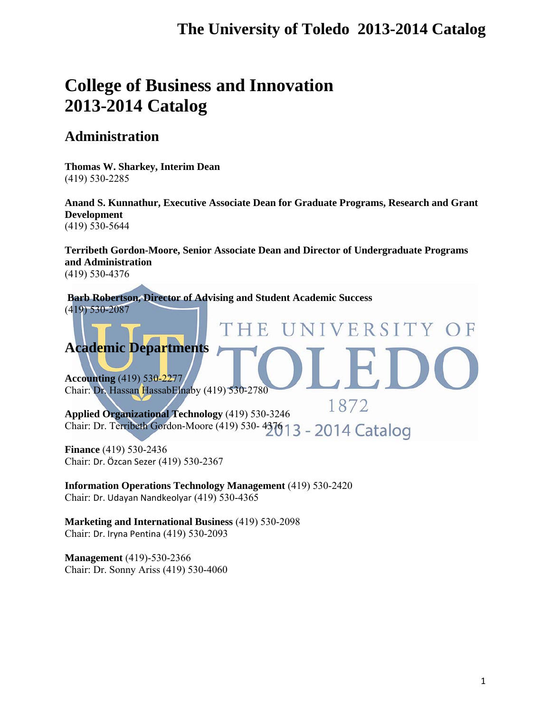VERSITY

T

# **College of Business and Innovation 2013-2014 Catalog**

## **Administration**

**Thomas W. Sharkey, Interim Dean** (419) 530-2285

**Anand S. Kunnathur, Executive Associate Dean for Graduate Programs, Research and Grant Development**  (419) 530-5644

**Terribeth Gordon-Moore, Senior Associate Dean and Director of Undergraduate Programs and Administration** (419) 530-4376

**Barb Robertson, Director of Advising and Student Academic Success**  (419) 530-2087

## **Academic Departments**

**Accounting** (419) 530-2277 Chair: Dr. Hassan HassabElnaby (419) 530-2780

1872 **Applied Organizational Technology** (419) 530-3246 Chair: Dr. Terribeth Gordon-Moore (419) 530-4376 13 - 2014 Catalog

THE

**Finance** (419) 530-2436 Chair: Dr. Özcan Sezer (419) 530-2367

**Information Operations Technology Management** (419) 530-2420 Chair: Dr. Udayan Nandkeolyar (419) 530-4365

**Marketing and International Business** (419) 530-2098 Chair: Dr. Iryna Pentina (419) 530-2093

**Management** (419)-530-2366 Chair: Dr. Sonny Ariss (419) 530-4060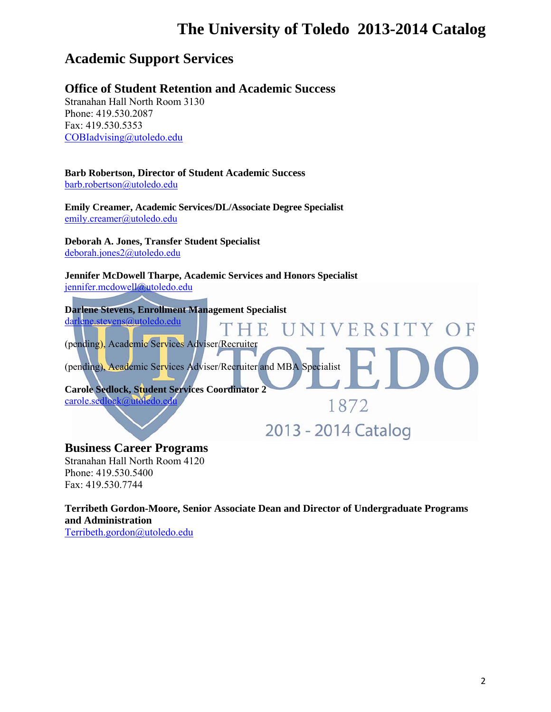## **Academic Support Services**

## **Office of Student Retention and Academic Success**

Stranahan Hall North Room 3130 Phone: 419.530.2087 Fax: 419.530.5353 COBIadvising@utoledo.edu

## **Barb Robertson, Director of Student Academic Success**

barb.robertson@utoledo.edu

**Emily Creamer, Academic Services/DL/Associate Degree Specialist**  emily.creamer@utoledo.edu

**Deborah A. Jones, Transfer Student Specialist**  deborah.jones2@utoledo.edu

**Jennifer McDowell Tharpe, Academic Services and Honors Specialist**  jennifer.mcdowell@utoledo.edu

**Darlene Stevens, Enrollment Management Specialist**  darlene.stevens@utoledo.edu NIVERSITY OF  $H$ (pending), Academic Services Adviser/Recruiter (pending), Academic Services Adviser/Recruiter and MBA Specialist **Carole Sedlock, Student Services Coordinator 2**  carole.sedlock@utoledo.edu 1872 2013 - 2014 Catalog

## **Business Career Programs**

Stranahan Hall North Room 4120 Phone: 419.530.5400 Fax: 419.530.7744

**Terribeth Gordon-Moore, Senior Associate Dean and Director of Undergraduate Programs and Administration**  Terribeth.gordon@utoledo.edu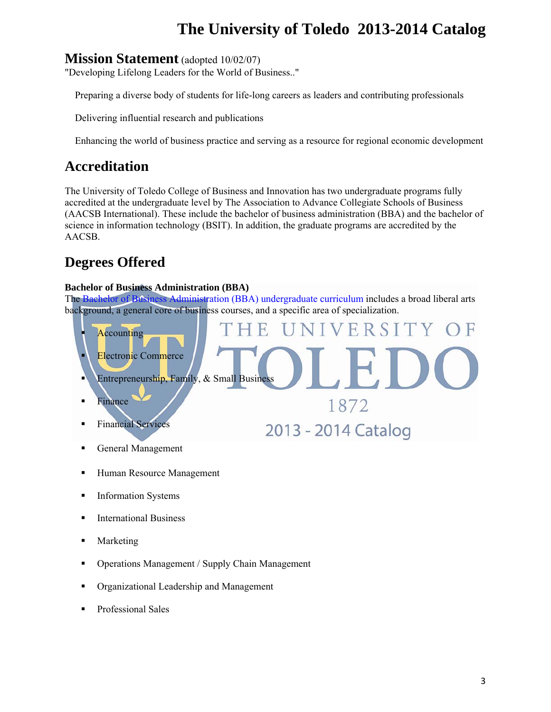## **Mission Statement** (adopted 10/02/07)

"Developing Lifelong Leaders for the World of Business.."

Preparing a diverse body of students for life-long careers as leaders and contributing professionals

Delivering influential research and publications

Enhancing the world of business practice and serving as a resource for regional economic development

## **Accreditation**

The University of Toledo College of Business and Innovation has two undergraduate programs fully accredited at the undergraduate level by The Association to Advance Collegiate Schools of Business (AACSB International). These include the bachelor of business administration (BBA) and the bachelor of science in information technology (BSIT). In addition, the graduate programs are accredited by the AACSB.

## **Degrees Offered**

### **Bachelor of Business Administration (BBA)**

The Bachelor of Business Administration (BBA) undergraduate curriculum includes a broad liberal arts background, a general core of business courses, and a specific area of specialization.



- **Human Resource Management**
- **Information Systems**
- **International Business**
- Marketing
- Operations Management / Supply Chain Management
- Organizational Leadership and Management
- **Professional Sales**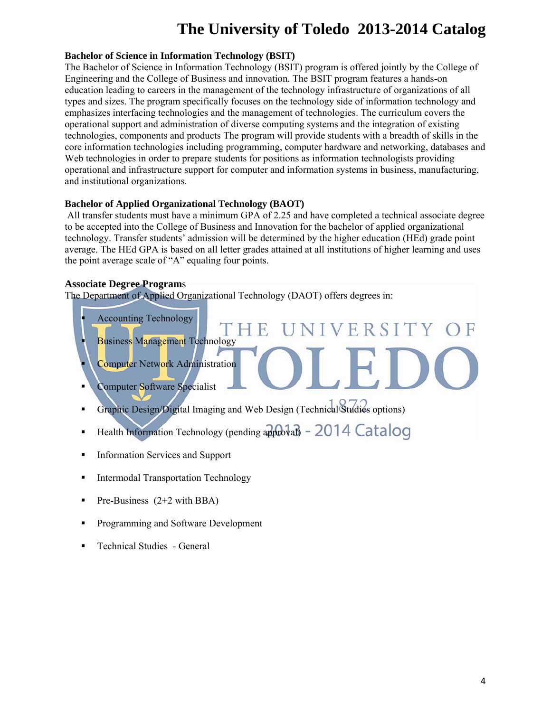#### **Bachelor of Science in Information Technology (BSIT)**

The Bachelor of Science in Information Technology (BSIT) program is offered jointly by the College of Engineering and the College of Business and innovation. The BSIT program features a hands-on education leading to careers in the management of the technology infrastructure of organizations of all types and sizes. The program specifically focuses on the technology side of information technology and emphasizes interfacing technologies and the management of technologies. The curriculum covers the operational support and administration of diverse computing systems and the integration of existing technologies, components and products The program will provide students with a breadth of skills in the core information technologies including programming, computer hardware and networking, databases and Web technologies in order to prepare students for positions as information technologists providing operational and infrastructure support for computer and information systems in business, manufacturing, and institutional organizations.

#### **Bachelor of Applied Organizational Technology (BAOT)**

 All transfer students must have a minimum GPA of 2.25 and have completed a technical associate degree to be accepted into the College of Business and Innovation for the bachelor of applied organizational technology. Transfer students' admission will be determined by the higher education (HEd) grade point average. The HEd GPA is based on all letter grades attained at all institutions of higher learning and uses the point average scale of "A" equaling four points.

#### **Associate Degree Program**s

The Department of Applied Organizational Technology (DAOT) offers degrees in:



- Graphic Design/Digital Imaging and Web Design (Technical Studies options)
- Health Information Technology (pending approval)  $2014$  Catalog
- **Information Services and Support**
- **Intermodal Transportation Technology**
- **Pre-Business**  $(2+2 \text{ with } BBA)$
- **Programming and Software Development**
- Technical Studies General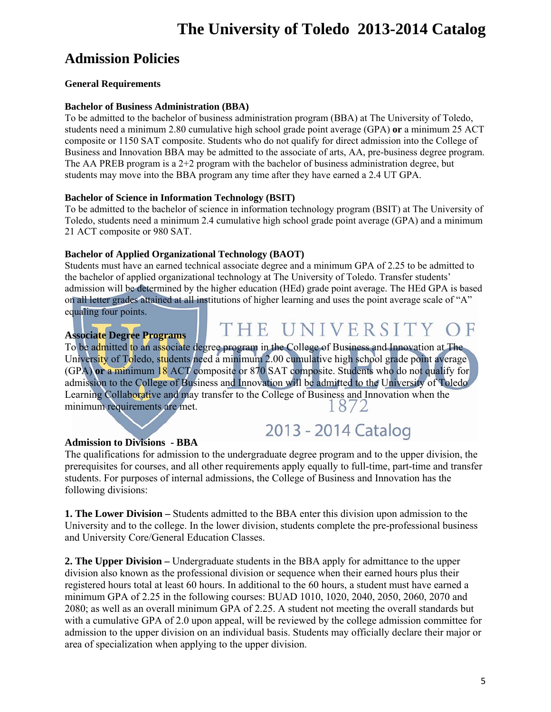## **Admission Policies**

### **General Requirements**

### **Bachelor of Business Administration (BBA)**

To be admitted to the bachelor of business administration program (BBA) at The University of Toledo, students need a minimum 2.80 cumulative high school grade point average (GPA) **or** a minimum 25 ACT composite or 1150 SAT composite. Students who do not qualify for direct admission into the College of Business and Innovation BBA may be admitted to the associate of arts, AA, pre-business degree program. The AA PREB program is a  $2+2$  program with the bachelor of business administration degree, but students may move into the BBA program any time after they have earned a 2.4 UT GPA.

### **Bachelor of Science in Information Technology (BSIT)**

To be admitted to the bachelor of science in information technology program (BSIT) at The University of Toledo, students need a minimum 2.4 cumulative high school grade point average (GPA) and a minimum 21 ACT composite or 980 SAT.

## **Bachelor of Applied Organizational Technology (BAOT)**

Students must have an earned technical associate degree and a minimum GPA of 2.25 to be admitted to the bachelor of applied organizational technology at The University of Toledo. Transfer students' admission will be determined by the higher education (HEd) grade point average. The HEd GPA is based on all letter grades attained at all institutions of higher learning and uses the point average scale of "A" equaling four points.

## **Associate Degree Programs**

# THE UNIVERSITY

2013 - 2014 Catalog

To be admitted to an associate degree program in the College of Business and Innovation at The University of Toledo, students need a minimum 2.00 cumulative high school grade point average (GPA) **or** a minimum 18 ACT composite or 870 SAT composite. Students who do not qualify for admission to the College of Business and Innovation will be admitted to the University of Toledo Learning Collaborative and may transfer to the College of Business and Innovation when the minimum requirements are met.  $8/2$ 

## **Admission to Divisions - BBA**

The qualifications for admission to the undergraduate degree program and to the upper division, the prerequisites for courses, and all other requirements apply equally to full-time, part-time and transfer students. For purposes of internal admissions, the College of Business and Innovation has the following divisions:

**1. The Lower Division –** Students admitted to the BBA enter this division upon admission to the University and to the college. In the lower division, students complete the pre-professional business and University Core/General Education Classes.

**2. The Upper Division –** Undergraduate students in the BBA apply for admittance to the upper division also known as the professional division or sequence when their earned hours plus their registered hours total at least 60 hours. In additional to the 60 hours, a student must have earned a minimum GPA of 2.25 in the following courses: BUAD 1010, 1020, 2040, 2050, 2060, 2070 and 2080; as well as an overall minimum GPA of 2.25. A student not meeting the overall standards but with a cumulative GPA of 2.0 upon appeal, will be reviewed by the college admission committee for admission to the upper division on an individual basis. Students may officially declare their major or area of specialization when applying to the upper division.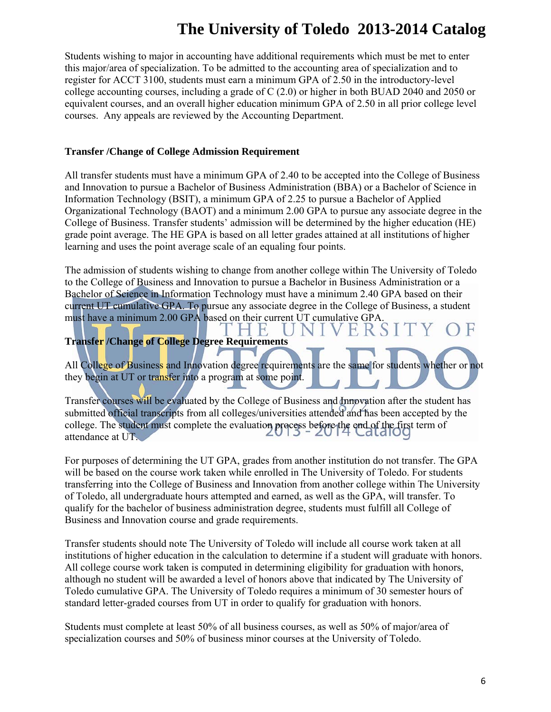Students wishing to major in accounting have additional requirements which must be met to enter this major/area of specialization. To be admitted to the accounting area of specialization and to register for ACCT 3100, students must earn a minimum GPA of 2.50 in the introductory-level college accounting courses, including a grade of C (2.0) or higher in both BUAD 2040 and 2050 or equivalent courses, and an overall higher education minimum GPA of 2.50 in all prior college level courses. Any appeals are reviewed by the Accounting Department.

### **Transfer /Change of College Admission Requirement**

All transfer students must have a minimum GPA of 2.40 to be accepted into the College of Business and Innovation to pursue a Bachelor of Business Administration (BBA) or a Bachelor of Science in Information Technology (BSIT), a minimum GPA of 2.25 to pursue a Bachelor of Applied Organizational Technology (BAOT) and a minimum 2.00 GPA to pursue any associate degree in the College of Business. Transfer students' admission will be determined by the higher education (HE) grade point average. The HE GPA is based on all letter grades attained at all institutions of higher learning and uses the point average scale of an equaling four points.

The admission of students wishing to change from another college within The University of Toledo to the College of Business and Innovation to pursue a Bachelor in Business Administration or a Bachelor of Science in Information Technology must have a minimum 2.40 GPA based on their current UT cumulative GPA. To pursue any associate degree in the College of Business, a student must have a minimum 2.00 GPA based on their current UT cumulative GPA.

H,

## **Transfer /Change of College Degree Requirements**

All College of Business and Innovation degree requirements are the same for students whether or not they begin at UT or transfer into a program at some point.

N I

ERS

Transfer courses will be evaluated by the College of Business and Innovation after the student has submitted official transcripts from all colleges/universities attended and has been accepted by the college. The student must complete the evaluation process before the end of the first term of<br>attandance at UE attendance at UT.

For purposes of determining the UT GPA, grades from another institution do not transfer. The GPA will be based on the course work taken while enrolled in The University of Toledo. For students transferring into the College of Business and Innovation from another college within The University of Toledo, all undergraduate hours attempted and earned, as well as the GPA, will transfer. To qualify for the bachelor of business administration degree, students must fulfill all College of Business and Innovation course and grade requirements.

Transfer students should note The University of Toledo will include all course work taken at all institutions of higher education in the calculation to determine if a student will graduate with honors. All college course work taken is computed in determining eligibility for graduation with honors, although no student will be awarded a level of honors above that indicated by The University of Toledo cumulative GPA. The University of Toledo requires a minimum of 30 semester hours of standard letter-graded courses from UT in order to qualify for graduation with honors.

Students must complete at least 50% of all business courses, as well as 50% of major/area of specialization courses and 50% of business minor courses at the University of Toledo.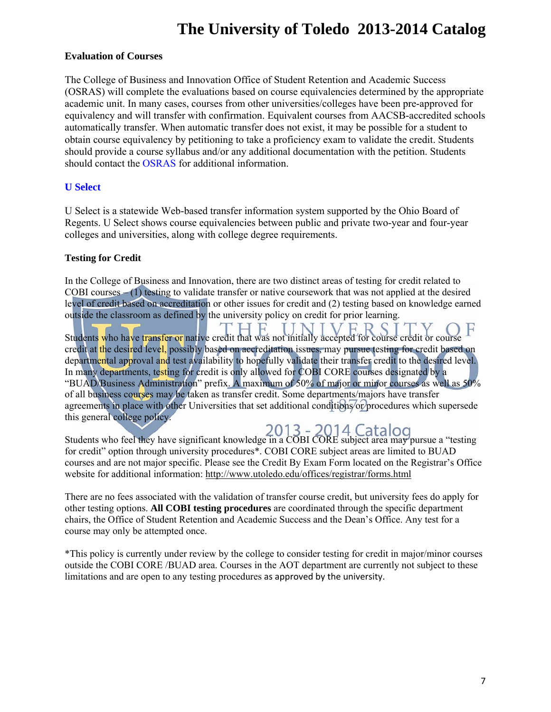### **Evaluation of Courses**

The College of Business and Innovation Office of Student Retention and Academic Success (OSRAS) will complete the evaluations based on course equivalencies determined by the appropriate academic unit. In many cases, courses from other universities/colleges have been pre-approved for equivalency and will transfer with confirmation. Equivalent courses from AACSB-accredited schools automatically transfer. When automatic transfer does not exist, it may be possible for a student to obtain course equivalency by petitioning to take a proficiency exam to validate the credit. Students should provide a course syllabus and/or any additional documentation with the petition. Students should contact the OSRAS for additional information.

### **U Select**

U Select is a statewide Web-based transfer information system supported by the Ohio Board of Regents. U Select shows course equivalencies between public and private two-year and four-year colleges and universities, along with college degree requirements.

### **Testing for Credit**

In the College of Business and Innovation, there are two distinct areas of testing for credit related to COBI courses – (1) testing to validate transfer or native coursework that was not applied at the desired level of credit based on accreditation or other issues for credit and (2) testing based on knowledge earned outside the classroom as defined by the university policy on credit for prior learning.

Students who have transfer or native credit that was not initially accepted for course credit or course F credit at the desired level, possibly based on accreditation issues, may pursue testing for credit based on departmental approval and test availability to hopefully validate their transfer credit to the desired level. In many departments, testing for credit is only allowed for COBI CORE courses designated by a "BUAD/Business Administration" prefix. A maximum of 50% of major or minor courses as well as 50% of all business courses may be taken as transfer credit. Some departments/majors have transfer agreements in place with other Universities that set additional conditions or procedures which supersede this general college policy.

Students who feel they have significant knowledge in a COBI CORE subject area may pursue a "testing for credit" option through university procedures\*. COBI CORE subject areas are limited to BUAD courses and are not major specific. Please see the Credit By Exam Form located on the Registrar's Office website for additional information: http://www.utoledo.edu/offices/registrar/forms.html

There are no fees associated with the validation of transfer course credit, but university fees do apply for other testing options. **All COBI testing procedures** are coordinated through the specific department chairs, the Office of Student Retention and Academic Success and the Dean's Office. Any test for a course may only be attempted once.

\*This policy is currently under review by the college to consider testing for credit in major/minor courses outside the COBI CORE /BUAD area. Courses in the AOT department are currently not subject to these limitations and are open to any testing procedures as approved by the university.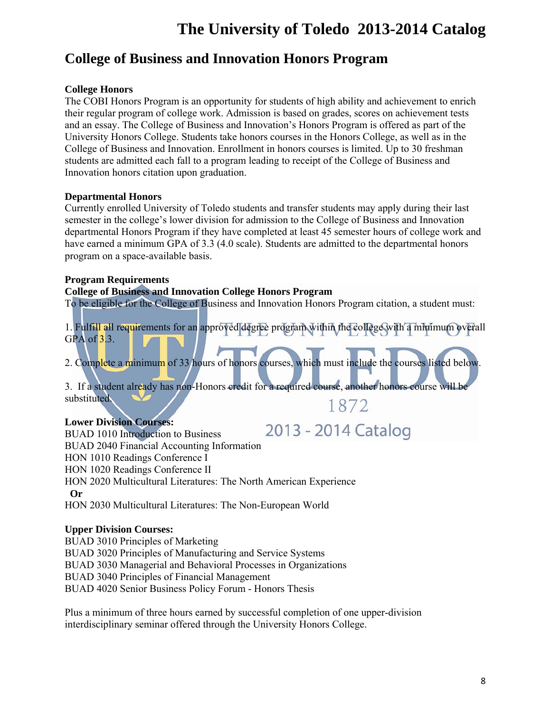## **College of Business and Innovation Honors Program**

## **College Honors**

The COBI Honors Program is an opportunity for students of high ability and achievement to enrich their regular program of college work. Admission is based on grades, scores on achievement tests and an essay. The College of Business and Innovation's Honors Program is offered as part of the University Honors College. Students take honors courses in the Honors College, as well as in the College of Business and Innovation. Enrollment in honors courses is limited. Up to 30 freshman students are admitted each fall to a program leading to receipt of the College of Business and Innovation honors citation upon graduation.

## **Departmental Honors**

Currently enrolled University of Toledo students and transfer students may apply during their last semester in the college's lower division for admission to the College of Business and Innovation departmental Honors Program if they have completed at least 45 semester hours of college work and have earned a minimum GPA of 3.3 (4.0 scale). Students are admitted to the departmental honors program on a space-available basis.

## **Program Requirements**

### **College of Business and Innovation College Honors Program**

To be eligible for the College of Business and Innovation Honors Program citation, a student must:

1. Fulfill all requirements for an approved degree program within the college with a minimum overall GPA of  $3.3$ .

2. Complete a minimum of 33 hours of honors courses, which must include the courses listed below.

3. If a student already has non-Honors credit for a required course, another honors course will be substituted. 1872

## **Lower Division Courses:**

2013 - 2014 Catalog BUAD 1010 Introduction to Business BUAD 2040 Financial Accounting Information HON 1010 Readings Conference I HON 1020 Readings Conference II HON 2020 Multicultural Literatures: The North American Experience  **Or**  HON 2030 Multicultural Literatures: The Non-European World

## **Upper Division Courses:**

BUAD 3010 Principles of Marketing BUAD 3020 Principles of Manufacturing and Service Systems BUAD 3030 Managerial and Behavioral Processes in Organizations BUAD 3040 Principles of Financial Management BUAD 4020 Senior Business Policy Forum - Honors Thesis

Plus a minimum of three hours earned by successful completion of one upper-division interdisciplinary seminar offered through the University Honors College.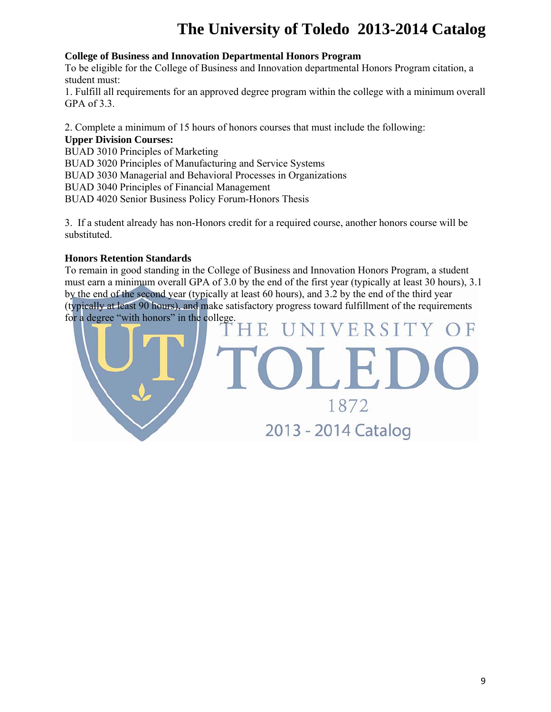### **College of Business and Innovation Departmental Honors Program**

To be eligible for the College of Business and Innovation departmental Honors Program citation, a student must:

1. Fulfill all requirements for an approved degree program within the college with a minimum overall GPA of 3.3.

2. Complete a minimum of 15 hours of honors courses that must include the following:

### **Upper Division Courses:**

BUAD 3010 Principles of Marketing

BUAD 3020 Principles of Manufacturing and Service Systems

BUAD 3030 Managerial and Behavioral Processes in Organizations

BUAD 3040 Principles of Financial Management

BUAD 4020 Senior Business Policy Forum-Honors Thesis

3. If a student already has non-Honors credit for a required course, another honors course will be substituted.

## **Honors Retention Standards**

To remain in good standing in the College of Business and Innovation Honors Program, a student must earn a minimum overall GPA of 3.0 by the end of the first year (typically at least 30 hours), 3.1 by the end of the second year (typically at least 60 hours), and 3.2 by the end of the third year (typically at least 90 hours), and make satisfactory progress toward fulfillment of the requirements for a degree "with honors" in the college.

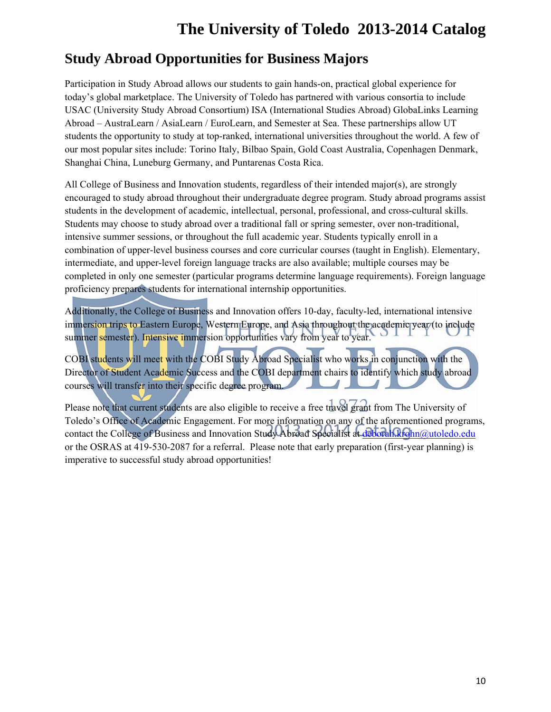## **Study Abroad Opportunities for Business Majors**

Participation in Study Abroad allows our students to gain hands-on, practical global experience for today's global marketplace. The University of Toledo has partnered with various consortia to include USAC (University Study Abroad Consortium) ISA (International Studies Abroad) GlobaLinks Learning Abroad – AustraLearn / AsiaLearn / EuroLearn, and Semester at Sea. These partnerships allow UT students the opportunity to study at top-ranked, international universities throughout the world. A few of our most popular sites include: Torino Italy, Bilbao Spain, Gold Coast Australia, Copenhagen Denmark, Shanghai China, Luneburg Germany, and Puntarenas Costa Rica.

All College of Business and Innovation students, regardless of their intended major(s), are strongly encouraged to study abroad throughout their undergraduate degree program. Study abroad programs assist students in the development of academic, intellectual, personal, professional, and cross-cultural skills. Students may choose to study abroad over a traditional fall or spring semester, over non-traditional, intensive summer sessions, or throughout the full academic year. Students typically enroll in a combination of upper-level business courses and core curricular courses (taught in English). Elementary, intermediate, and upper-level foreign language tracks are also available; multiple courses may be completed in only one semester (particular programs determine language requirements). Foreign language proficiency prepares students for international internship opportunities.

Additionally, the College of Business and Innovation offers 10-day, faculty-led, international intensive immersion trips to Eastern Europe, Western Europe, and Asia throughout the academic year (to include summer semester). Intensive immersion opportunities vary from year to year.

COBI students will meet with the COBI Study Abroad Specialist who works in conjunction with the Director of Student Academic Success and the COBI department chairs to identify which study abroad courses will transfer into their specific degree program.

Please note that current students are also eligible to receive a free travel grant from The University of Toledo's Office of Academic Engagement. For more information on any of the aforementioned programs, contact the College of Business and Innovation Study Abroad Specialist at deborah.krohn@utoledo.edu or the OSRAS at 419-530-2087 for a referral. Please note that early preparation (first-year planning) is imperative to successful study abroad opportunities!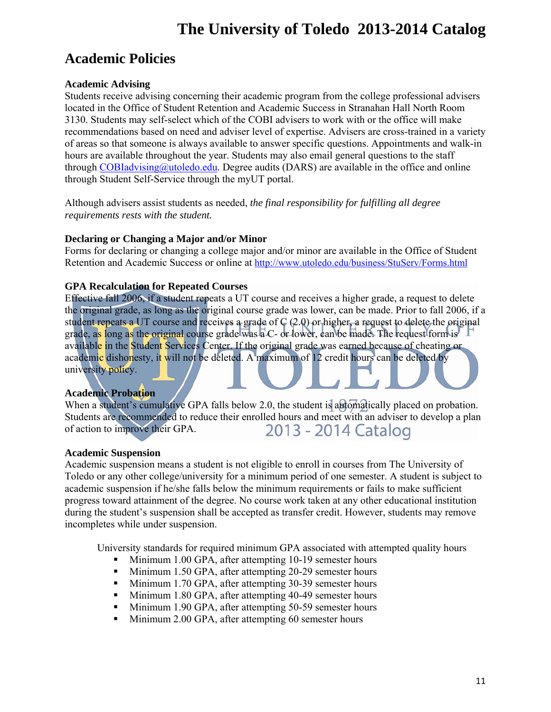## **Academic Policies**

## **Academic Advising**

Students receive advising concerning their academic program from the college professional advisers located in the Office of Student Retention and Academic Success in Stranahan Hall North Room 3130. Students may self-select which of the COBI advisers to work with or the office will make recommendations based on need and adviser level of expertise. Advisers are cross-trained in a variety of areas so that someone is always available to answer specific questions. Appointments and walk-in hours are available throughout the year. Students may also email general questions to the staff through  $COBIadvising@utoledo.edu$ . Degree audits (DARS) are available in the office and online through Student Self-Service through the myUT portal.

Although advisers assist students as needed, *the final responsibility for fulfilling all degree requirements rests with the student.* 

## **Declaring or Changing a Major and/or Minor**

Forms for declaring or changing a college major and/or minor are available in the Office of Student Retention and Academic Success or online at http://www.utoledo.edu/business/StuServ/Forms.html

## **GPA Recalculation for Repeated Courses**

Effective fall 2006, if a student repeats a UT course and receives a higher grade, a request to delete the original grade, as long as the original course grade was lower, can be made. Prior to fall 2006, if a student repeats a UT course and receives a grade of C (2.0) or higher, a request to delete the original grade, as long as the original course grade was  $\overline{a}$  C- or lower, can be made. The request form is available in the Student Services Center. If the original grade was earned because of cheating or academic dishonesty, it will not be deleted. A maximum of 12 credit hours can be deleted by university policy.

## **Academic Probation**

When a student's cumulative GPA falls below 2.0, the student is automatically placed on probation. Students are recommended to reduce their enrolled hours and meet with an adviser to develop a plan of action to improve their GPA. 2013 - 2014 Catalog

## **Academic Suspension**

Academic suspension means a student is not eligible to enroll in courses from The University of Toledo or any other college/university for a minimum period of one semester. A student is subject to academic suspension if he/she falls below the minimum requirements or fails to make sufficient progress toward attainment of the degree. No course work taken at any other educational institution during the student's suspension shall be accepted as transfer credit. However, students may remove incompletes while under suspension.

University standards for required minimum GPA associated with attempted quality hours

- Minimum 1.00 GPA, after attempting 10-19 semester hours
- Minimum 1.50 GPA, after attempting 20-29 semester hours
- Minimum 1.70 GPA, after attempting 30-39 semester hours
- Minimum 1.80 GPA, after attempting 40-49 semester hours
- Minimum 1.90 GPA, after attempting 50-59 semester hours
- Minimum 2.00 GPA, after attempting 60 semester hours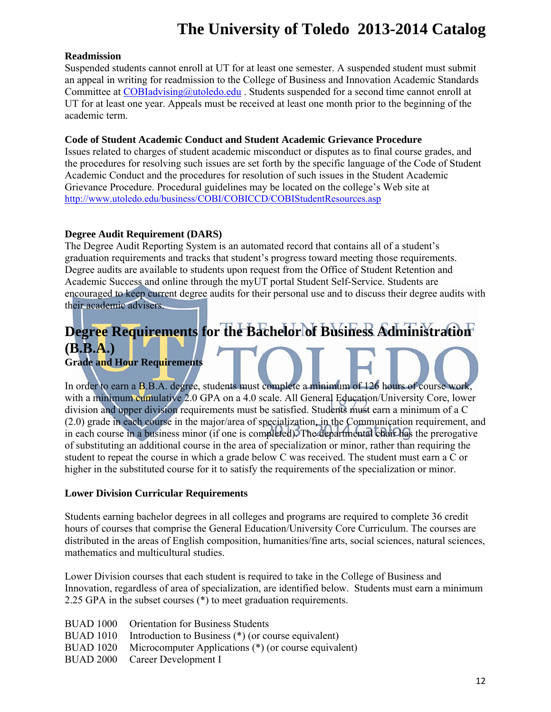### **Readmission**

Suspended students cannot enroll at UT for at least one semester. A suspended student must submit an appeal in writing for readmission to the College of Business and Innovation Academic Standards Committee at COBIadvising@utoledo.edu. Students suspended for a second time cannot enroll at UT for at least one year. Appeals must be received at least one month prior to the beginning of the academic term.

### **Code of Student Academic Conduct and Student Academic Grievance Procedure**

Issues related to charges of student academic misconduct or disputes as to final course grades, and the procedures for resolving such issues are set forth by the specific language of the Code of Student Academic Conduct and the procedures for resolution of such issues in the Student Academic Grievance Procedure. Procedural guidelines may be located on the college's Web site at http://www.utoledo.edu/business/COBI/COBICCD/COBIStudentResources.asp

## **Degree Audit Requirement (DARS)**

The Degree Audit Reporting System is an automated record that contains all of a student's graduation requirements and tracks that student's progress toward meeting those requirements. Degree audits are available to students upon request from the Office of Student Retention and Academic Success and online through the myUT portal Student Self-Service. Students are encouraged to keep current degree audits for their personal use and to discuss their degree audits with their academic advisers.

## **Degree Requirements for the Bachelor of Business Administration (B.B.A.) Grade and Hour Requirements**

In order to earn a B.B.A. degree, students must complete a minimum of 126 hours of course work, with a minimum cumulative 2.0 GPA on a 4.0 scale. All General Education/University Core, lower division and upper division requirements must be satisfied. Students must earn a minimum of a C (2.0) grade in each course in the major/area of specialization, in the Communication requirement, and in each course in a business minor (if one is completed). The departmental chair has the prerogative of substituting an additional course in the area of specialization or minor, rather than requiring the student to repeat the course in which a grade below C was received. The student must earn a C or higher in the substituted course for it to satisfy the requirements of the specialization or minor.

### **Lower Division Curricular Requirements**

Students earning bachelor degrees in all colleges and programs are required to complete 36 credit hours of courses that comprise the General Education/University Core Curriculum. The courses are distributed in the areas of English composition, humanities/fine arts, social sciences, natural sciences, mathematics and multicultural studies.

Lower Division courses that each student is required to take in the College of Business and Innovation, regardless of area of specialization, are identified below. Students must earn a minimum 2.25 GPA in the subset courses (\*) to meet graduation requirements.

| BUAD 1000 Orientation for Business Students                     |
|-----------------------------------------------------------------|
| BUAD 1010 Introduction to Business (*) (or course equivalent)   |
| BUAD 1020 Microcomputer Applications (*) (or course equivalent) |
| BUAD 2000 Career Development I                                  |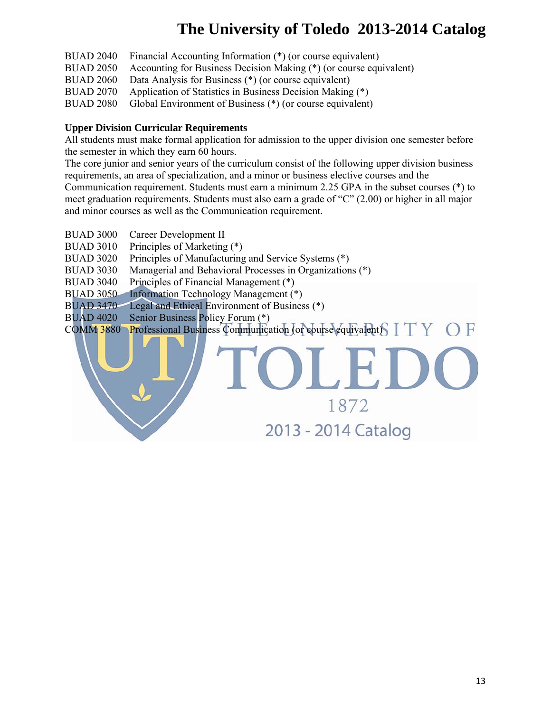1872

2013 - 2014 Catalog

- BUAD 2040 Financial Accounting Information (\*) (or course equivalent)
- BUAD 2050 Accounting for Business Decision Making (\*) (or course equivalent)
- BUAD 2060 Data Analysis for Business (\*) (or course equivalent)
- BUAD 2070 Application of Statistics in Business Decision Making (\*)

BUAD 2080 Global Environment of Business (\*) (or course equivalent)

### **Upper Division Curricular Requirements**

All students must make formal application for admission to the upper division one semester before the semester in which they earn 60 hours.

The core junior and senior years of the curriculum consist of the following upper division business requirements, an area of specialization, and a minor or business elective courses and the

Communication requirement. Students must earn a minimum 2.25 GPA in the subset courses (\*) to meet graduation requirements. Students must also earn a grade of "C" (2.00) or higher in all major and minor courses as well as the Communication requirement.

- BUAD 3000 Career Development II
- BUAD 3010 Principles of Marketing (\*)
- BUAD 3020 Principles of Manufacturing and Service Systems (\*)
- BUAD 3030 Managerial and Behavioral Processes in Organizations (\*)
- BUAD 3040 Principles of Financial Management (\*)
- BUAD 3050 Information Technology Management (\*)
- BUAD 3470 Legal and Ethical Environment of Business (\*)
- BUAD 4020 Senior Business Policy Forum (\*)

COMM 3880 Professional Business Communication (or course equivalent)  $\begin{array}{c} \square \ \top \end{array}$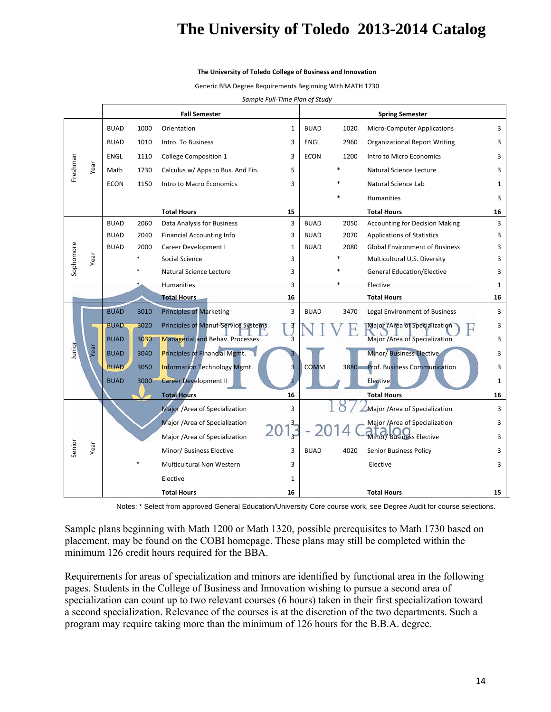#### **The University of Toledo College of Business and Innovation**

Generic BBA Degree Requirements Beginning With MATH 1730

*Sample Full‐Time Plan of Study*

|           |      | <b>Fall Semester</b> |      |                                        |    |             | <b>Spring Semester</b> |                                       |              |  |
|-----------|------|----------------------|------|----------------------------------------|----|-------------|------------------------|---------------------------------------|--------------|--|
|           |      | <b>BUAD</b>          | 1000 | Orientation                            | 1  | <b>BUAD</b> | 1020                   | <b>Micro-Computer Applications</b>    | 3            |  |
|           |      | <b>BUAD</b>          | 1010 | Intro. To Business                     | 3  | ENGL        | 2960                   | <b>Organizational Report Writing</b>  | 3            |  |
|           |      | <b>ENGL</b>          | 1110 | College Composition 1                  | 3  | <b>ECON</b> | 1200                   | Intro to Micro Economics              | 3            |  |
| Freshman  | Year | Math                 | 1730 | Calculus w/ Apps to Bus. And Fin.      | 5  |             |                        | Natural Science Lecture               | 3            |  |
|           |      | <b>ECON</b>          | 1150 | Intro to Macro Economics               | 3  |             |                        | Natural Science Lab                   | 1            |  |
|           |      |                      |      |                                        |    |             |                        | <b>Humanities</b>                     | 3            |  |
|           |      |                      |      | <b>Total Hours</b>                     | 15 |             |                        | <b>Total Hours</b>                    | 16           |  |
|           |      | <b>BUAD</b>          | 2060 | Data Analysis for Business             | 3  | <b>BUAD</b> | 2050                   | <b>Accounting for Decision Making</b> | 3            |  |
|           |      | <b>BUAD</b>          | 2040 | <b>Financial Accounting Info</b>       | 3  | <b>BUAD</b> | 2070                   | <b>Applications of Statistics</b>     | 3            |  |
|           |      | <b>BUAD</b>          | 2000 | Career Development I                   | 1  | <b>BUAD</b> | 2080                   | <b>Global Environment of Business</b> | 3            |  |
| Sophomore | Year |                      |      | Social Science                         | 3  |             |                        | Multicultural U.S. Diversity          | 3            |  |
|           |      |                      |      | Natural Science Lecture                | 3  |             |                        | <b>General Education/Elective</b>     | 3            |  |
|           |      |                      |      | Humanities                             | 3  |             |                        | Elective                              | $\mathbf{1}$ |  |
|           |      |                      |      | <b>Total Hours</b>                     | 16 |             |                        | <b>Total Hours</b>                    | 16           |  |
|           |      | <b>BUAD</b>          | 3010 | <b>Principles of Marketing</b>         | 3  | <b>BUAD</b> | 3470                   | Legal Environment of Business         | 3            |  |
|           |      | <b>BUAD</b>          | 3020 | Principles of Manuf-Service Systems    |    |             |                        | Major / Area of Specialization        | 3            |  |
|           |      | <b>BUAD</b>          | 3030 | <b>Managerial and Behav. Processes</b> |    |             |                        | Major /Area of Specialization         | 3            |  |
| Junior    | Year | <b>BUAD</b>          | 3040 | <b>Principles of Financial Mgmt.</b>   |    |             |                        | Minor/ Business Elective              | 3            |  |
|           |      | <b>BUAD</b>          | 3050 | <b>Information Technology Mgmt.</b>    |    | <b>COMM</b> | 3880                   | <b>Prof. Business Communication</b>   | 3            |  |
|           |      | <b>BUAD</b>          | 3000 | <b>Career Development II</b>           |    |             |                        | Elective                              | $\mathbf{1}$ |  |
|           |      |                      |      | <b>Total Hours</b>                     | 16 |             |                        | <b>Total Hours</b>                    | 16           |  |
|           |      |                      |      | Major /Area of Specialization          | 3  |             |                        | Major /Area of Specialization         | 3            |  |
|           |      |                      |      | Major /Area of Specialization          |    |             |                        | Major /Area of Specialization         | 3            |  |
|           |      |                      |      | Major /Area of Specialization          |    |             |                        | Minor/ Business Elective              | 3            |  |
| Senior    | Year |                      |      | Minor/ Business Elective               | 3  | <b>BUAD</b> | 4020                   | Senior Business Policy                | 3            |  |
|           |      |                      |      | Multicultural Non Western              | 3  |             |                        | Elective                              | 3            |  |
|           |      |                      |      | Elective                               | 1  |             |                        |                                       |              |  |
|           |      |                      |      | <b>Total Hours</b>                     | 16 |             |                        | <b>Total Hours</b>                    | 15           |  |

Notes: \* Select from approved General Education/University Core course work, see Degree Audit for course selections.

Sample plans beginning with Math 1200 or Math 1320, possible prerequisites to Math 1730 based on placement, may be found on the COBI homepage. These plans may still be completed within the minimum 126 credit hours required for the BBA.

Requirements for areas of specialization and minors are identified by functional area in the following pages. Students in the College of Business and Innovation wishing to pursue a second area of specialization can count up to two relevant courses (6 hours) taken in their first specialization toward a second specialization. Relevance of the courses is at the discretion of the two departments. Such a program may require taking more than the minimum of 126 hours for the B.B.A. degree.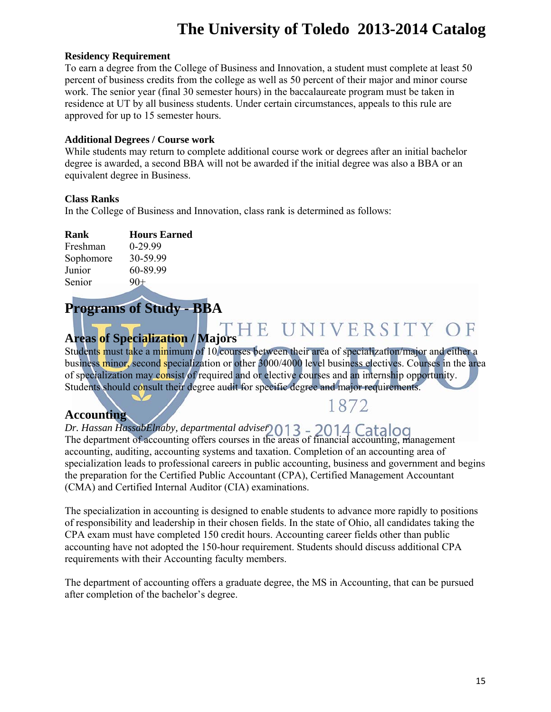#### **Residency Requirement**

To earn a degree from the College of Business and Innovation, a student must complete at least 50 percent of business credits from the college as well as 50 percent of their major and minor course work. The senior year (final 30 semester hours) in the baccalaureate program must be taken in residence at UT by all business students. Under certain circumstances, appeals to this rule are approved for up to 15 semester hours.

#### **Additional Degrees / Course work**

While students may return to complete additional course work or degrees after an initial bachelor degree is awarded, a second BBA will not be awarded if the initial degree was also a BBA or an equivalent degree in Business.

#### **Class Ranks**

In the College of Business and Innovation, class rank is determined as follows:

| <b>Rank</b>   | <b>Hours Earned</b> |
|---------------|---------------------|
| Freshman      | $0-29.99$           |
| Sophomore     | 30-59.99            |
| Junior        | 60-89.99            |
| <b>Senior</b> | $90+$               |

## **Programs of Study - BBA**

**Areas of Specialization / Majors** 

Students must take a minimum of 10 courses between their area of specialization/major and either a business minor, second specialization or other 3000/4000 level business electives. Courses in the area of specialization may consist of required and or elective courses and an internship opportunity. Students should consult their degree audit for specific degree and major requirements.

## **Accounting**

## 1872

*Dr. Hassan HassabElnaby, departmental adviser*  The department of accounting offers courses in the areas of financial accounting, management accounting, auditing, accounting systems and taxation. Completion of an accounting area of specialization leads to professional careers in public accounting, business and government and begins the preparation for the Certified Public Accountant (CPA), Certified Management Accountant (CMA) and Certified Internal Auditor (CIA) examinations.

The specialization in accounting is designed to enable students to advance more rapidly to positions of responsibility and leadership in their chosen fields. In the state of Ohio, all candidates taking the CPA exam must have completed 150 credit hours. Accounting career fields other than public accounting have not adopted the 150-hour requirement. Students should discuss additional CPA requirements with their Accounting faculty members.

The department of accounting offers a graduate degree, the MS in Accounting, that can be pursued after completion of the bachelor's degree.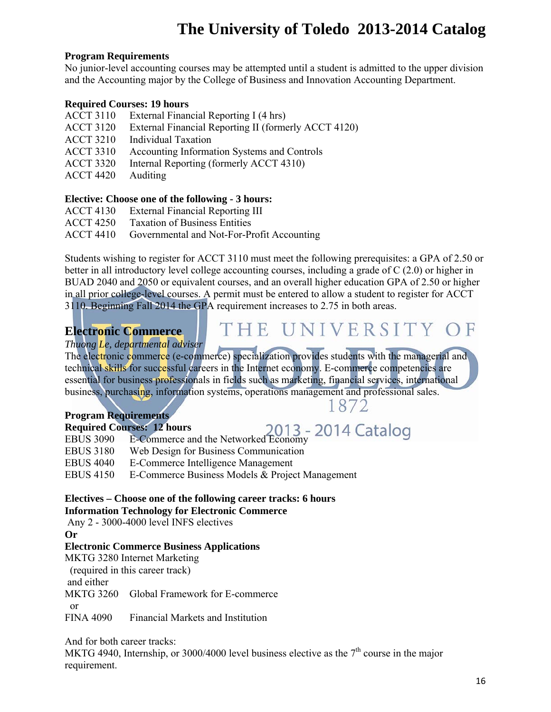### **Program Requirements**

No junior-level accounting courses may be attempted until a student is admitted to the upper division and the Accounting major by the College of Business and Innovation Accounting Department.

### **Required Courses: 19 hours**

- ACCT 3110 External Financial Reporting I (4 hrs)
- ACCT 3120 External Financial Reporting II (formerly ACCT 4120)
- ACCT 3210 Individual Taxation
- ACCT 3310 Accounting Information Systems and Controls
- ACCT 3320 Internal Reporting (formerly ACCT 4310)
- ACCT 4420 Auditing

### **Elective: Choose one of the following - 3 hours:**

- ACCT 4130 External Financial Reporting III
- ACCT 4250 Taxation of Business Entities
- ACCT 4410 Governmental and Not-For-Profit Accounting

Students wishing to register for ACCT 3110 must meet the following prerequisites: a GPA of 2.50 or better in all introductory level college accounting courses, including a grade of C (2.0) or higher in BUAD 2040 and 2050 or equivalent courses, and an overall higher education GPA of 2.50 or higher in all prior college-level courses. A permit must be entered to allow a student to register for ACCT 3110. Beginning Fall 2014 the GPA requirement increases to 2.75 in both areas.

## **Electronic Commerce**

*Thuong Le, departmental adviser* 

The electronic commerce (e-commerce) specialization provides students with the managerial and technical skills for successful careers in the Internet economy. E-commerce competencies are essential for business professionals in fields such as marketing, financial services, international business, purchasing, information systems, operations management and professional sales.

## 1872

4 Catalog

THE UNIVERSITY

## **Program Requirements**

|                  | <b>Required Courses: 12 hours</b>                                                            |
|------------------|----------------------------------------------------------------------------------------------|
| <b>EBUS 3090</b> | <b>Trees: 12 hours</b><br>E-Commerce and the Networked Economy<br>$\frac{2013}{2013}$ – 2014 |
| <b>EBUS 3180</b> | Web Design for Business Communication                                                        |
| <b>EBUS 4040</b> | E-Commerce Intelligence Management                                                           |
| EBUS 4150        | E-Commerce Business Models & Project Management                                              |

### **Electives – Choose one of the following career tracks: 6 hours Information Technology for Electronic Commerce**

Any 2 - 3000-4000 level INFS electives

**Or** 

### **Electronic Commerce Business Applications**

MKTG 3280 Internet Marketing

(required in this career track)

and either

MKTG 3260 Global Framework for E-commerce

or

FINA 4090 Financial Markets and Institution

And for both career tracks:

MKTG 4940, Internship, or 3000/4000 level business elective as the  $7<sup>th</sup>$  course in the major requirement.

 $\mathbb{H}$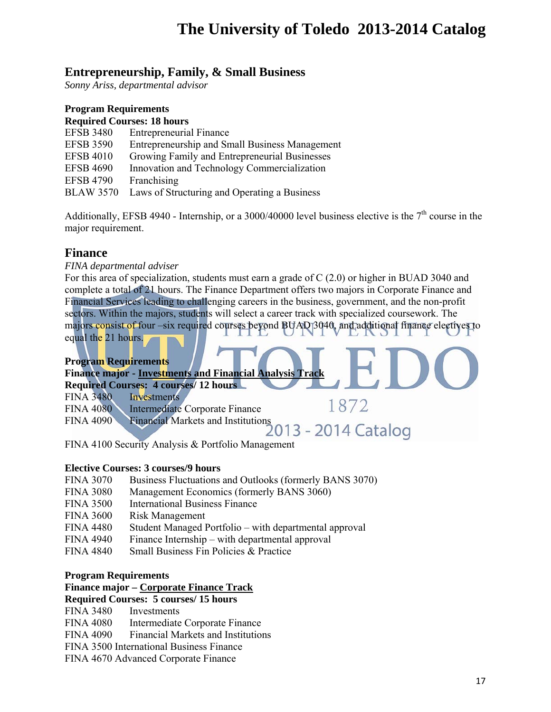## **Entrepreneurship, Family, & Small Business**

*Sonny Ariss, departmental advisor* 

#### **Program Requirements Required Courses: 18 hours**

| <b>EFSB 3480</b> | <b>Entrepreneurial Finance</b>                 |
|------------------|------------------------------------------------|
| <b>EFSB 3590</b> | Entrepreneurship and Small Business Management |
| <b>EFSB 4010</b> | Growing Family and Entrepreneurial Businesses  |
| <b>EFSB 4690</b> | Innovation and Technology Commercialization    |
| <b>EFSB 4790</b> | Franchising                                    |
| <b>BLAW 3570</b> | Laws of Structuring and Operating a Business   |

Additionally, EFSB 4940 - Internship, or a 3000/40000 level business elective is the  $7<sup>th</sup>$  course in the major requirement.

## **Finance**

*FINA departmental adviser* 

For this area of specialization, students must earn a grade of C (2.0) or higher in BUAD 3040 and complete a total of 21 hours. The Finance Department offers two majors in Corporate Finance and Financial Services leading to challenging careers in the business, government, and the non-profit sectors. Within the majors, students will select a career track with specialized coursework. The majors consist of four –six required courses beyond BUAD 3040, and additional finance electives to equal the 21 hours.

#### **Program Requirements Finance major - Investments and Financial Analysis Track Required Courses: 4 courses/ 12 hours**  FINA 3480 Investments 1872 FINA 4080 Intermediate Corporate Finance FINA 4090 Financial Markets and Institutions 013 - 2014 Catalog FINA 4100 Security Analysis & Portfolio Management

### **Elective Courses: 3 courses/9 hours**

- FINA 3070 Business Fluctuations and Outlooks (formerly BANS 3070)
- FINA 3080 Management Economics (formerly BANS 3060)
- FINA 3500 International Business Finance
- FINA 3600 Risk Management
- FINA 4480 Student Managed Portfolio with departmental approval
- FINA 4940 Finance Internship with departmental approval
- FINA 4840 Small Business Fin Policies & Practice

### **Program Requirements**

### **Finance major – Corporate Finance Track**

### **Required Courses: 5 courses/ 15 hours**

FINA 3480 Investments

FINA 4080 Intermediate Corporate Finance

FINA 4090 Financial Markets and Institutions

FINA 3500 International Business Finance

FINA 4670 Advanced Corporate Finance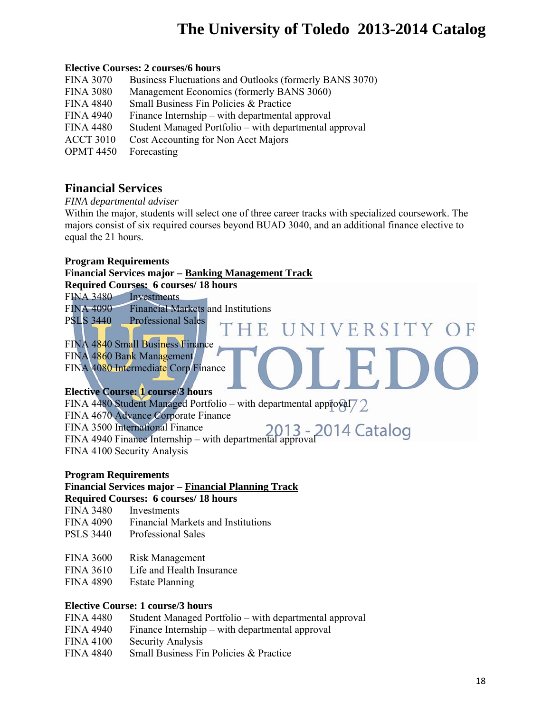NIVERSITY OF

### **Elective Courses: 2 courses/6 hours**

| <b>FINA 3070</b> | Business Fluctuations and Outlooks (formerly BANS 3070) |
|------------------|---------------------------------------------------------|
| <b>FINA 3080</b> | Management Economics (formerly BANS 3060)               |
| <b>FINA 4840</b> | Small Business Fin Policies & Practice                  |
| <b>FINA 4940</b> | Finance Internship – with departmental approval         |
| <b>FINA 4480</b> | Student Managed Portfolio – with departmental approval  |
| <b>ACCT 3010</b> | Cost Accounting for Non Acct Majors                     |
| <b>OPMT 4450</b> | Forecasting                                             |

## **Financial Services**

*FINA departmental adviser* 

Within the major, students will select one of three career tracks with specialized coursework. The majors consist of six required courses beyond BUAD 3040, and an additional finance elective to equal the 21 hours.

 $\mathbf{E}$ 

#### **Program Requirements**

#### **Financial Services major – Banking Management Track**

**Required Courses: 6 courses/ 18 hours** 

FINA 3480 Investments

FINA 4090 Financial Markets and Institutions

FINA 4840 Small Business Finance

FINA 4860 Bank Management

PSLS 3440 Professional Sales

FINA 4080 Intermediate Corp Finance

### **Elective Course: 1 course/3 hours**

FINA 4480 Student Managed Portfolio – with departmental approval  $\sqrt{2}$ FINA 4670 Advance Corporate Finance FINA 3500 International Finance FINA 4940 Finance Internship – with departmental approval FINA 4100 Security Analysis

### **Program Requirements**

## **Financial Services major – Financial Planning Track**

### **Required Courses: 6 courses/ 18 hours**

- FINA 3480 Investments
- FINA 4090 Financial Markets and Institutions
- PSLS 3440 Professional Sales
- FINA 3600 Risk Management
- FINA 3610 Life and Health Insurance
- FINA 4890 Estate Planning

### **Elective Course: 1 course/3 hours**

- FINA 4480 Student Managed Portfolio with departmental approval
- FINA 4940 Finance Internship with departmental approval
- FINA 4100 Security Analysis
- FINA 4840 Small Business Fin Policies & Practice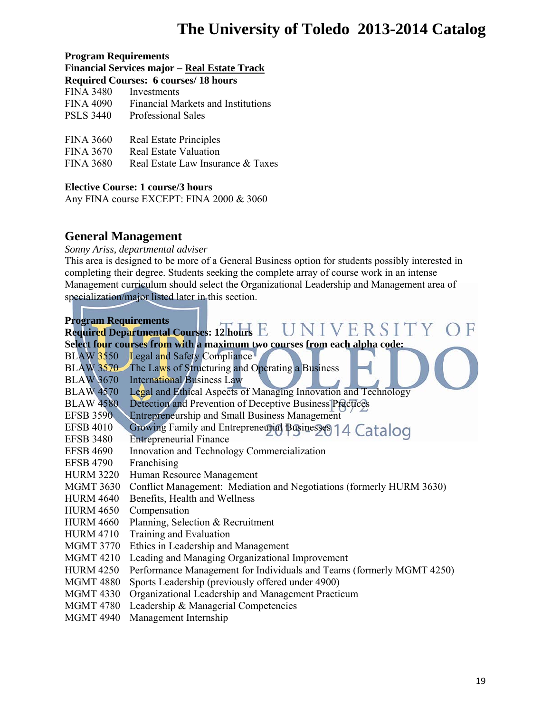#### **Program Requirements**

**Financial Services major – Real Estate Track** 

| <b>FINA 3480</b><br>Investments |  |
|---------------------------------|--|
|---------------------------------|--|

FINA 4090 Financial Markets and Institutions

PSLS 3440 Professional Sales

| <b>FINA 3660</b> | Real Estate Principles |
|------------------|------------------------|
|------------------|------------------------|

FINA 3670 Real Estate Valuation

FINA 3680 Real Estate Law Insurance & Taxes

### **Elective Course: 1 course/3 hours**

Any FINA course EXCEPT: FINA 2000 & 3060

## **General Management**

*Sonny Ariss, departmental adviser* 

This area is designed to be more of a General Business option for students possibly interested in completing their degree. Students seeking the complete array of course work in an intense Management curriculum should select the Organizational Leadership and Management area of specialization/major listed later in this section.

#### **Program Requirements**

### Required Departmental Courses: 12 hours **E**  $UNIVE RSITY$ **Select four courses from with a maximum two courses from each alpha code:**  BLAW 3550 Legal and Safety Compliance BLAW 3570 The Laws of Structuring and Operating a Business BLAW 3670 International Business Law BLAW 4570 Legal and Ethical Aspects of Managing Innovation and Technology<br>BLAW 4580 Detection and Prevention of Deceptive Business Practices Detection and Prevention of Deceptive Business Practices EFSB 3590 Entrepreneurship and Small Business Management EFSB 4010 Growing Family and Entrepreneurial Businesses 14 Catalog EFSB 3480 Entrepreneurial Finance EFSB 4690 Innovation and Technology Commercialization EFSB 4790 Franchising HURM 3220 Human Resource Management MGMT 3630 Conflict Management: Mediation and Negotiations (formerly HURM 3630) HURM 4640 Benefits, Health and Wellness HURM 4650 Compensation HURM 4660 Planning, Selection & Recruitment HURM 4710 Training and Evaluation MGMT 3770 Ethics in Leadership and Management MGMT 4210 Leading and Managing Organizational Improvement HURM 4250 Performance Management for Individuals and Teams (formerly MGMT 4250) MGMT 4880 Sports Leadership (previously offered under 4900) MGMT 4330 Organizational Leadership and Management Practicum MGMT 4780 Leadership & Managerial Competencies MGMT 4940 Management Internship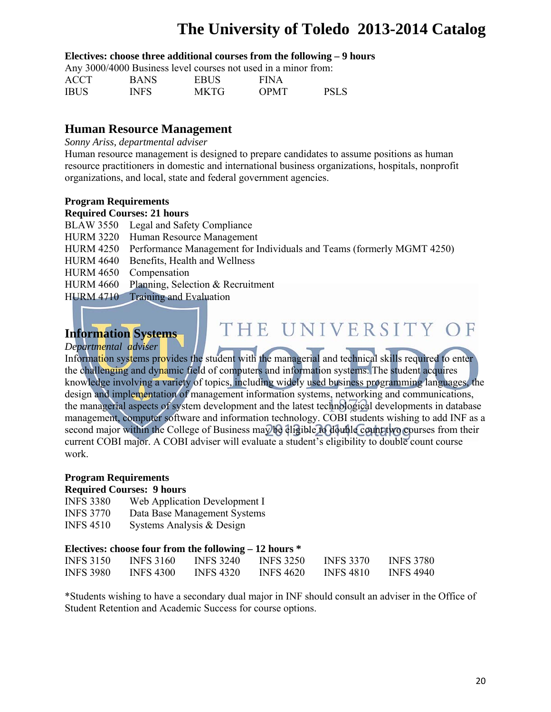THE UNIVERSITY OF

#### **Electives: choose three additional courses from the following – 9 hours**

Any 3000/4000 Business level courses not used in a minor from:

| <b>ACCT</b> | <b>BANS</b> | <b>EBUS</b> | <b>FINA</b> |             |  |  |  |
|-------------|-------------|-------------|-------------|-------------|--|--|--|
| <b>IBUS</b> | <b>INFS</b> | <b>MKTG</b> | <b>OPMT</b> | <b>PSLS</b> |  |  |  |

## **Human Resource Management**

*Sonny Ariss, departmental adviser* 

Human resource management is designed to prepare candidates to assume positions as human resource practitioners in domestic and international business organizations, hospitals, nonprofit organizations, and local, state and federal government agencies.

#### **Program Requirements**

#### **Required Courses: 21 hours**

- BLAW 3550 Legal and Safety Compliance
- HURM 3220 Human Resource Management
- HURM 4250 Performance Management for Individuals and Teams (formerly MGMT 4250)
- HURM 4640 Benefits, Health and Wellness
- HURM 4650 Compensation
- HURM 4660 Planning, Selection & Recruitment
- HURM 4710 Training and Evaluation

## **Information Systems**

*Departmental adviser* 

Information systems provides the student with the managerial and technical skills required to enter the challenging and dynamic field of computers and information systems. The student acquires knowledge involving a variety of topics, including widely used business programming languages, the design and implementation of management information systems, networking and communications, the managerial aspects of system development and the latest technological developments in database management, computer software and information technology. COBI students wishing to add INF as a second major within the College of Business may be eligible to double count two courses from their current COBI major. A COBI adviser will evaluate a student's eligibility to double count course work.

### **Program Requirements**

### **Required Courses: 9 hours**

| <b>INFS 3380</b> | Web Application Development I |
|------------------|-------------------------------|
| <b>INFS 3770</b> | Data Base Management Systems  |
| <b>INFS 4510</b> | Systems Analysis & Design     |

### **Electives: choose four from the following – 12 hours \***

| <b>INFS 3150</b> | <b>INFS 3160</b> | <b>INFS 3240</b> | <b>INFS 3250</b> | <b>INFS 3370</b> | <b>INFS 3780</b> |
|------------------|------------------|------------------|------------------|------------------|------------------|
| <b>INFS 3980</b> | <b>INFS 4300</b> | <b>INFS 4320</b> | <b>INFS 4620</b> | <b>INFS 4810</b> | <b>INFS 4940</b> |

\*Students wishing to have a secondary dual major in INF should consult an adviser in the Office of Student Retention and Academic Success for course options.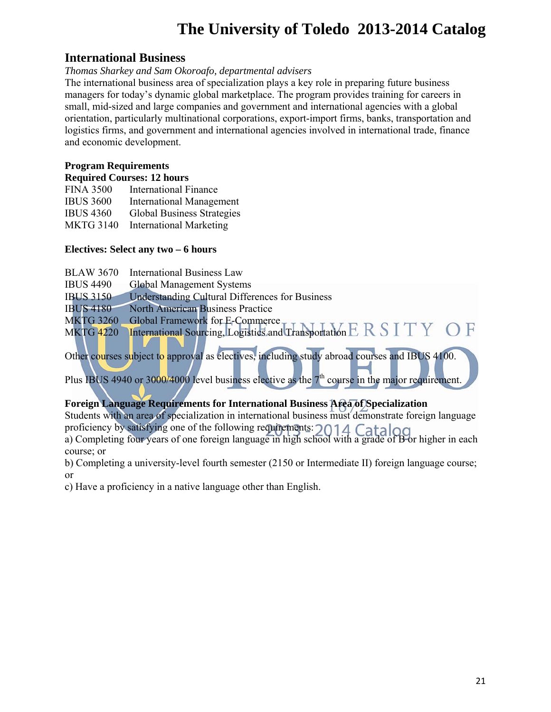## **International Business**

### *Thomas Sharkey and Sam Okoroafo, departmental advisers*

The international business area of specialization plays a key role in preparing future business managers for today's dynamic global marketplace. The program provides training for careers in small, mid-sized and large companies and government and international agencies with a global orientation, particularly multinational corporations, export-import firms, banks, transportation and logistics firms, and government and international agencies involved in international trade, finance and economic development.

## **Program Requirements**

| <b>Required Courses: 12 hours</b> |                                   |  |  |  |
|-----------------------------------|-----------------------------------|--|--|--|
| <b>FINA 3500</b>                  | <b>International Finance</b>      |  |  |  |
| <b>IBUS 3600</b>                  | <b>International Management</b>   |  |  |  |
| <b>IBUS 4360</b>                  | <b>Global Business Strategies</b> |  |  |  |
| <b>MKTG 3140</b>                  | <b>International Marketing</b>    |  |  |  |

## **Electives: Select any two – 6 hours**

| <b>BLAW 3670</b>  | <b>International Business Law</b>                                                                       |  |
|-------------------|---------------------------------------------------------------------------------------------------------|--|
| <b>IBUS 4490</b>  | <b>Global Management Systems</b>                                                                        |  |
| <b>IBUS 3150-</b> | <b>Understanding Cultural Differences for Business</b>                                                  |  |
| <b>IBUS 4180</b>  | <b>North American Business Practice</b>                                                                 |  |
| <b>MKTG 3260</b>  |                                                                                                         |  |
| <b>MKTG 4220</b>  | Global Framework for E-Commerce<br>International Sourcing, Logistics and Transportation E R S I T Y O F |  |
|                   |                                                                                                         |  |

Other courses subject to approval as electives, including study abroad courses and IBUS 4100.

Plus IBUS 4940 or 3000/4000 level business elective as the  $7<sup>th</sup>$  course in the major requirement.

## **Foreign Language Requirements for International Business Area of Specialization**

Students with an area of specialization in international business must demonstrate foreign language proficiency by satisfying one of the following requirements: a) Completing four years of one foreign language in high school with a grade of B or higher in each course; or

b) Completing a university-level fourth semester (2150 or Intermediate II) foreign language course; or

c) Have a proficiency in a native language other than English.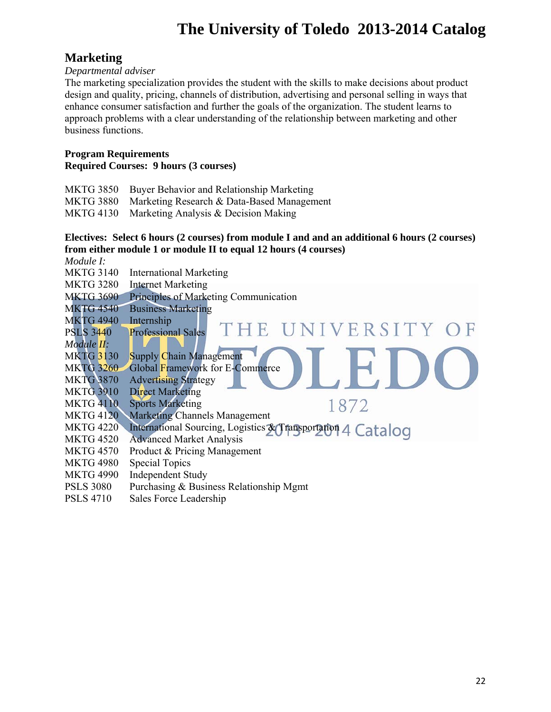## **Marketing**

### *Departmental adviser*

The marketing specialization provides the student with the skills to make decisions about product design and quality, pricing, channels of distribution, advertising and personal selling in ways that enhance consumer satisfaction and further the goals of the organization. The student learns to approach problems with a clear understanding of the relationship between marketing and other business functions.

#### **Program Requirements Required Courses: 9 hours (3 courses)**

MKTG 3850 Buyer Behavior and Relationship Marketing

MKTG 3880 Marketing Research & Data-Based Management

MKTG 4130 Marketing Analysis & Decision Making

## **Electives: Select 6 hours (2 courses) from module I and and an additional 6 hours (2 courses) from either module 1 or module II to equal 12 hours (4 courses)**

*Module I:* 

MKTG 3140 International Marketing

MKTG 3280 Internet Marketing

- MKTG 3690 Principles of Marketing Communication
- MKTG 4540 Business Marketing
- MKTG 4940 Internship
- NIVERSITY OF THE  $\blacksquare$ PSLS 3440 Professional Sales *Module II:*  **Supply Chain Management**

1872

- MKTG 3260 Global Framework for E-Commerce
- MKTG 3870 Advertising Strategy
- MKTG 3910 Direct Marketing
- MKTG 4110 Sports Marketing
- MKTG 4120 Marketing Channels Management
- MKTG 4220 International Sourcing, Logistics & Transportation 4 Catalog
- MKTG 4520 Advanced Market Analysis
- MKTG 4570 Product & Pricing Management
- MKTG 4980 Special Topics
- MKTG 4990 Independent Study
- PSLS 3080 Purchasing & Business Relationship Mgmt
- PSLS 4710 Sales Force Leadership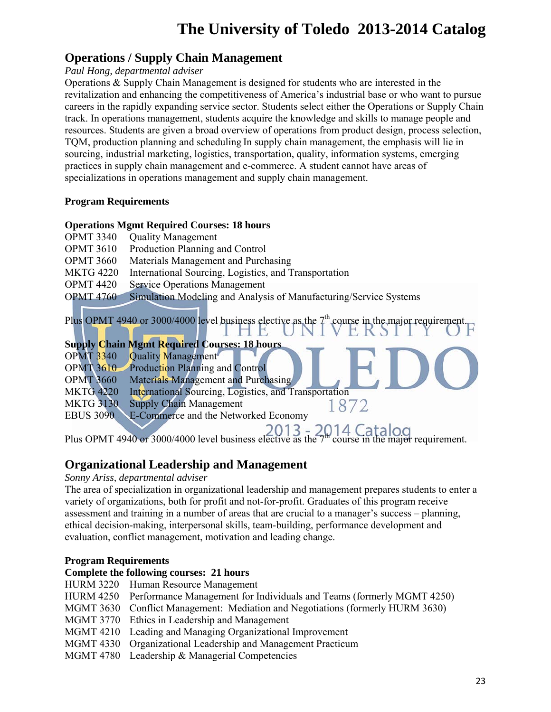## **Operations / Supply Chain Management**

## *Paul Hong, departmental adviser*

Operations & Supply Chain Management is designed for students who are interested in the revitalization and enhancing the competitiveness of America's industrial base or who want to pursue careers in the rapidly expanding service sector. Students select either the Operations or Supply Chain track. In operations management, students acquire the knowledge and skills to manage people and resources. Students are given a broad overview of operations from product design, process selection, TQM, production planning and scheduling In supply chain management, the emphasis will lie in sourcing, industrial marketing, logistics, transportation, quality, information systems, emerging practices in supply chain management and e-commerce. A student cannot have areas of specializations in operations management and supply chain management.

## **Program Requirements**

## **Operations Mgmt Required Courses: 18 hours**

- OPMT 3340 Quality Management
- OPMT 3610 Production Planning and Control
- OPMT 3660 Materials Management and Purchasing
- MKTG 4220 International Sourcing, Logistics, and Transportation
- OPMT 4420 Service Operations Management
- OPMT 4760 Simulation Modeling and Analysis of Manufacturing/Service Systems

Plus OPMT 4940 or 3000/4000 level business elective as the 7<sup>th</sup> course in the major requirement.

## **Supply Chain Mgmt Required Courses: 18 hours**

- OPMT 3340 Quality Management
- OPMT 3610 Production Planning and Control
- OPMT 3660 Materials Management and Purchasing
- MKTG 4220 International Sourcing, Logistics, and Transportation
- MKTG 3130 Supply Chain Management

EBUS 3090 E-Commerce and the Networked Economy

1872

Plus OPMT 4940 or 3000/4000 level business elective as the  $7<sup>m</sup>$  course in the major requirement.

## **Organizational Leadership and Management**

*Sonny Ariss, departmental adviser* 

The area of specialization in organizational leadership and management prepares students to enter a variety of organizations, both for profit and not-for-profit. Graduates of this program receive assessment and training in a number of areas that are crucial to a manager's success – planning, ethical decision-making, interpersonal skills, team-building, performance development and evaluation, conflict management, motivation and leading change.

## **Program Requirements**

## **Complete the following courses: 21 hours**

- HURM 3220 Human Resource Management
- HURM 4250 Performance Management for Individuals and Teams (formerly MGMT 4250)
- MGMT 3630 Conflict Management: Mediation and Negotiations (formerly HURM 3630)
- MGMT 3770 Ethics in Leadership and Management
- MGMT 4210 Leading and Managing Organizational Improvement
- MGMT 4330 Organizational Leadership and Management Practicum
- MGMT 4780 Leadership & Managerial Competencies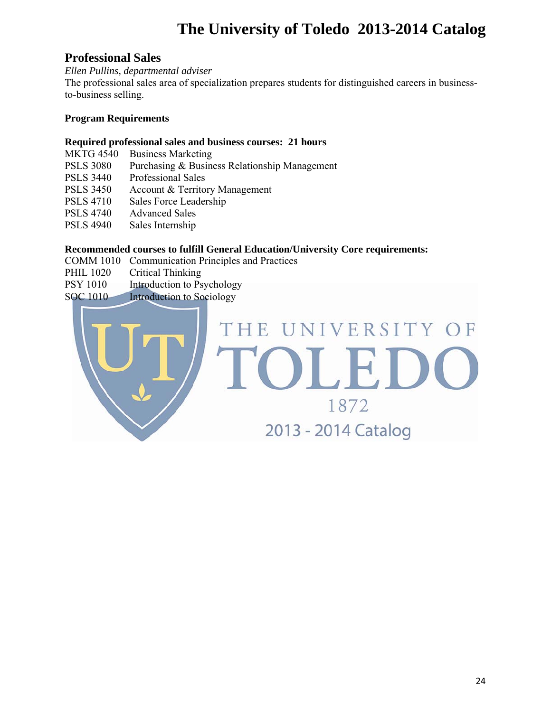## **Professional Sales**

*Ellen Pullins, departmental adviser* 

The professional sales area of specialization prepares students for distinguished careers in businessto-business selling.

## **Program Requirements**

### **Required professional sales and business courses: 21 hours**

| <b>MKTG 4540</b> | <b>Business Marketing</b>                     |
|------------------|-----------------------------------------------|
| <b>PSLS 3080</b> | Purchasing & Business Relationship Management |
| <b>PSLS 3440</b> | <b>Professional Sales</b>                     |
| <b>PSLS 3450</b> | Account & Territory Management                |
| <b>PSLS 4710</b> | Sales Force Leadership                        |
| <b>PSLS 4740</b> | <b>Advanced Sales</b>                         |
| <b>PSLS 4940</b> | Sales Internship                              |

## **Recommended courses to fulfill General Education/University Core requirements:**

- COMM 1010 Communication Principles and Practices
- PHIL 1020 Critical Thinking
- PSY 1010 Introduction to Psychology
- SOC 1010 Introduction to Sociology

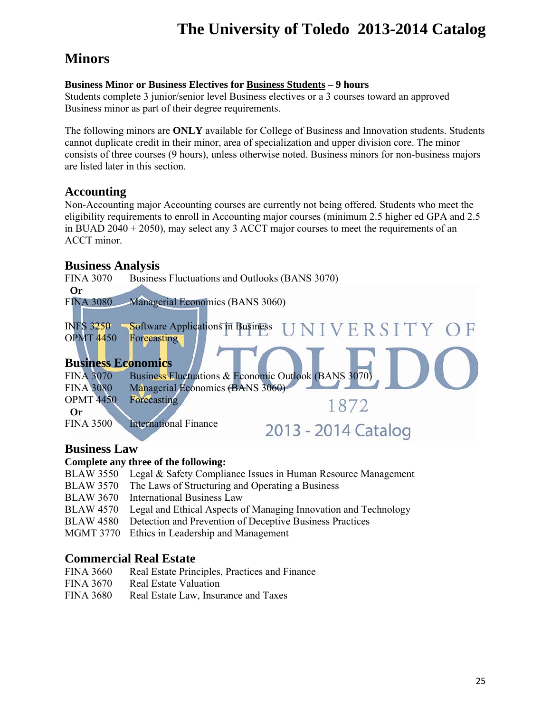## **Minors**

## **Business Minor or Business Electives for Business Students – 9 hours**

Students complete 3 junior/senior level Business electives or a 3 courses toward an approved Business minor as part of their degree requirements.

The following minors are **ONLY** available for College of Business and Innovation students. Students cannot duplicate credit in their minor, area of specialization and upper division core. The minor consists of three courses (9 hours), unless otherwise noted. Business minors for non-business majors are listed later in this section.

## **Accounting**

Non-Accounting major Accounting courses are currently not being offered. Students who meet the eligibility requirements to enroll in Accounting major courses (minimum 2.5 higher ed GPA and 2.5 in BUAD 2040 + 2050), may select any 3 ACCT major courses to meet the requirements of an ACCT minor.

## **Business Analysis**

FINA 3070 Business Fluctuations and Outlooks (BANS 3070) **Or** FINA 3080 Managerial Economics (BANS 3060) INFS 3250 Software Applications in Business VIVERSITY OF OPMT 4450 Forecasting **Business Economics**  FINA 3070 Business Fluctuations & Economic Outlook (BANS 3070) FINA 3080 Managerial Economics (BANS 3060) OPMT 4450 Forecasting 1872 **Or**  FINA 3500 International Finance 2013 - 2014 Catalog

## **Business Law**

## **Complete any three of the following:**

- BLAW 3550 Legal & Safety Compliance Issues in Human Resource Management
- BLAW 3570 The Laws of Structuring and Operating a Business
- BLAW 3670 International Business Law
- BLAW 4570 Legal and Ethical Aspects of Managing Innovation and Technology
- BLAW 4580 Detection and Prevention of Deceptive Business Practices
- MGMT 3770 Ethics in Leadership and Management

## **Commercial Real Estate**

- FINA 3660 Real Estate Principles, Practices and Finance
- FINA 3670 Real Estate Valuation
- FINA 3680 Real Estate Law, Insurance and Taxes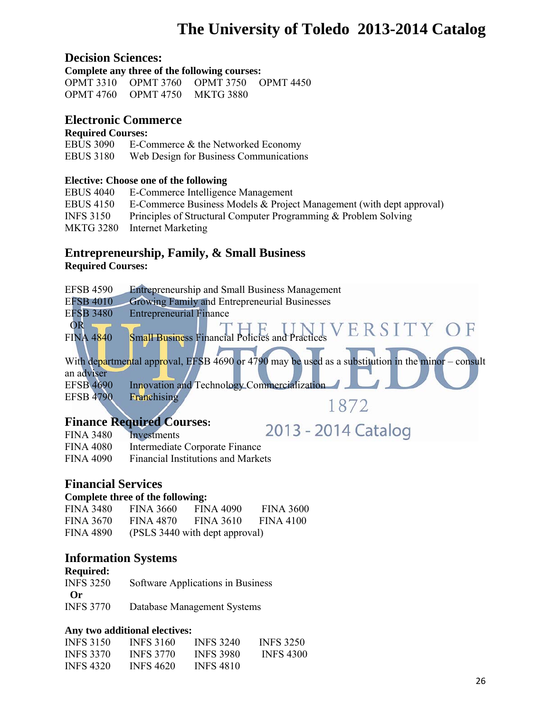## **Decision Sciences:**

**Complete any three of the following courses:**  OPMT 3310 OPMT 3760 OPMT 3750 OPMT 4450 OPMT 4760 OPMT 4750 MKTG 3880

## **Electronic Commerce**

#### **Required Courses:**

EBUS 3090 E-Commerce & the Networked Economy EBUS 3180 Web Design for Business Communications

### **Elective: Choose one of the following**

| <b>EBUS 4040</b> | E-Commerce Intelligence Management                                   |
|------------------|----------------------------------------------------------------------|
| <b>EBUS 4150</b> | E-Commerce Business Models & Project Management (with dept approval) |
| <b>INFS 3150</b> | Principles of Structural Computer Programming & Problem Solving      |
|                  | MKTG 3280 Internet Marketing                                         |

## **Entrepreneurship, Family, & Small Business**

### **Required Courses:**

| <b>EFSB 4590</b> | <b>Entrepreneurship and Small Business Management</b>                                              |
|------------------|----------------------------------------------------------------------------------------------------|
| <b>EFSB 4010</b> | Growing Family and Entrepreneurial Businesses                                                      |
| <b>EFSB 3480</b> | <b>Entrepreneurial Finance</b>                                                                     |
| <b>OR</b>        |                                                                                                    |
| <b>FINA 4840</b> | Small Business Financial Policies and Practices VERSITY OF                                         |
|                  |                                                                                                    |
|                  | With departmental approval, EFSB 4690 or 4790 may be used as a substitution in the minor – consult |
| an adviser       |                                                                                                    |
| <b>EFSB 4690</b> | <b>Innovation and Technology Commercialization</b>                                                 |
| <b>EFSB 4790</b> | Franchising                                                                                        |
|                  | 1872                                                                                               |
| Finance Decriped |                                                                                                    |

## **Finance Required Courses:**

| Finance Required Courses: |                                           |                     |
|---------------------------|-------------------------------------------|---------------------|
| FINA 3480 Investments     |                                           | 2013 - 2014 Catalog |
| FINA 4080                 | Intermediate Corporate Finance            |                     |
| FINA 4090                 | <b>Financial Institutions and Markets</b> |                     |

## **Financial Services**

### **Complete three of the following:**

| <b>FINA 3480</b> | <b>FINA 3660</b> | FINA 4090                      | <b>FINA 3600</b> |
|------------------|------------------|--------------------------------|------------------|
| <b>FINA 3670</b> | <b>FINA 4870</b> | <b>FINA 3610</b>               | FINA 4100        |
| <b>FINA 4890</b> |                  | (PSLS 3440 with dept approval) |                  |

## **Information Systems**

## **Required:**

| <b>INFS 3250</b> | Software Applications in Business |
|------------------|-----------------------------------|
| $\bf{Or}$        |                                   |
| <b>INFS 3770</b> | Database Management Systems       |

### **Any two additional electives:**

| <b>INFS 3150</b> | <b>INFS 3160</b> | <b>INFS 3240</b> | <b>INFS 3250</b> |
|------------------|------------------|------------------|------------------|
| <b>INFS 3370</b> | <b>INFS 3770</b> | <b>INFS 3980</b> | <b>INFS 4300</b> |
| <b>INFS 4320</b> | <b>INFS 4620</b> | <b>INFS 4810</b> |                  |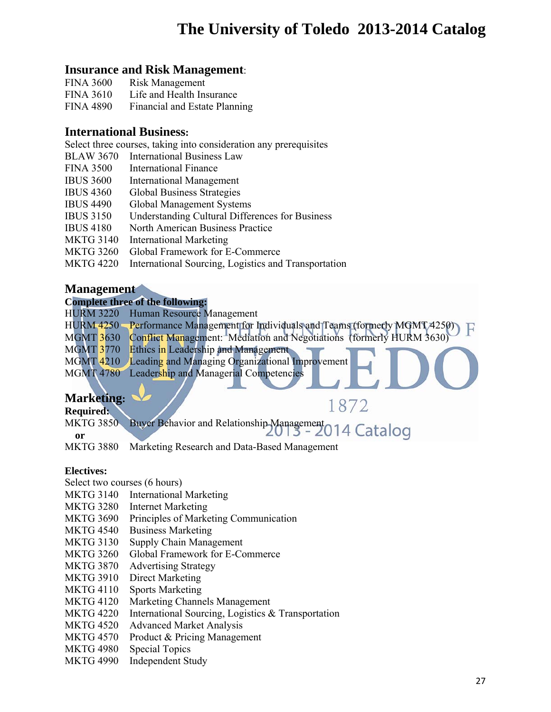## **Insurance and Risk Management**:

| <b>FINA 3600</b> | <b>Risk Management</b>        |
|------------------|-------------------------------|
| <b>FINA 3610</b> | Life and Health Insurance     |
| <b>FINA 4890</b> | Financial and Estate Planning |

## **International Business:**

Select three courses, taking into consideration any prerequisites

- BLAW 3670 International Business Law
- FINA 3500 International Finance
- IBUS 3600 International Management
- IBUS 4360 Global Business Strategies
- IBUS 4490 Global Management Systems
- IBUS 3150 Understanding Cultural Differences for Business
- IBUS 4180 North American Business Practice
- MKTG 3140 International Marketing
- MKTG 3260 Global Framework for E-Commerce
- MKTG 4220 International Sourcing, Logistics and Transportation

## **Management**

### **Complete three of the following:**

|                  | HURM 3220 Human Resource Management                                                    |
|------------------|----------------------------------------------------------------------------------------|
|                  | HURM 4250 Performance Management for Individuals and Teams (formerly MGMT 4250) $\Box$ |
| <b>MGMT 3630</b> | Conflict Management: Mediation and Negotiations (formerly HURM 3630)                   |
| <b>MGMT 3770</b> | <b>Ethics in Leadership and Management</b>                                             |
| <b>MGMT 4210</b> | Leading and Managing Organizational Improvement                                        |
|                  | MGMT 4780 Leadership and Managerial Competencies                                       |
|                  |                                                                                        |

1872

## **Marketing:**

### **Required:**

MKTG 3850 Buyer Behavior and Relationship Management 014 Catalog

**or** 

MKTG 3880 Marketing Research and Data-Based Management

## **Electives:**

Select two courses (6 hours)

- MKTG 3140 International Marketing
- MKTG 3280 Internet Marketing
- MKTG 3690 Principles of Marketing Communication
- MKTG 4540 Business Marketing
- MKTG 3130 Supply Chain Management
- MKTG 3260 Global Framework for E-Commerce
- MKTG 3870 Advertising Strategy
- MKTG 3910 Direct Marketing
- MKTG 4110 Sports Marketing
- MKTG 4120 Marketing Channels Management
- MKTG 4220 International Sourcing, Logistics & Transportation
- MKTG 4520 Advanced Market Analysis
- MKTG 4570 Product & Pricing Management
- MKTG 4980 Special Topics
- MKTG 4990 Independent Study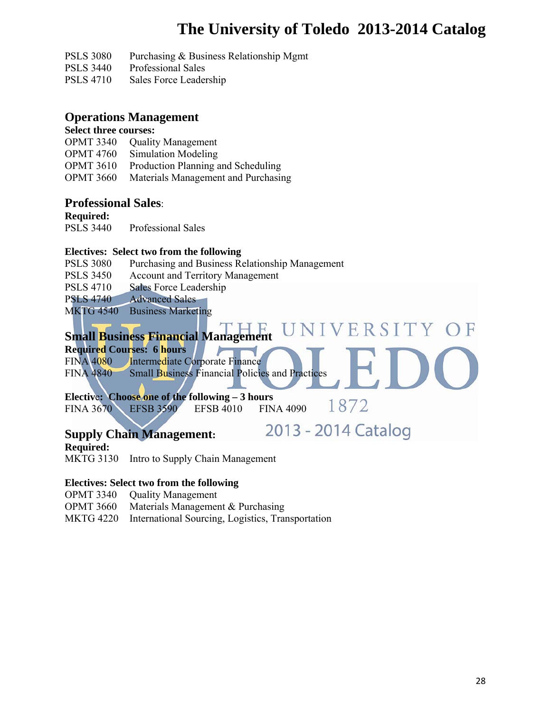2013 - 2014 Catalog

PSLS 3080 Purchasing & Business Relationship Mgmt

- PSLS 3440 Professional Sales
- PSLS 4710 Sales Force Leadership

## **Operations Management**

### **Select three courses:**

- OPMT 3340 Quality Management
- OPMT 4760 Simulation Modeling
- OPMT 3610 Production Planning and Scheduling
- OPMT 3660 Materials Management and Purchasing

## **Professional Sales**:

**Required:** 

PSLS 3440 Professional Sales

### **Electives: Select two from the following**

- PSLS 3080 Purchasing and Business Relationship Management
- PSLS 3450 Account and Territory Management
- PSLS 4710 Sales Force Leadership
- PSLS 4740 Advanced Sales
- MKTG 4540 Business Marketing

#### NIVERSITY OF **Small Business Financial Management**

**Required Courses: 6 hours** 

FINA 4080 Intermediate Corporate Finance FINA 4840 Small Business Financial Policies and Practices

**Electiv**e**: Choose one of the following – 3 hours**  1872 FINA 3670 EFSB 3590 EFSB 4010 FINA 4090

## **Supply Chain Management:**

**Required:** 

MKTG 3130 Intro to Supply Chain Management

## **Electives: Select two from the following**

- OPMT 3340 Quality Management
- OPMT 3660 Materials Management & Purchasing
- MKTG 4220 International Sourcing, Logistics, Transportation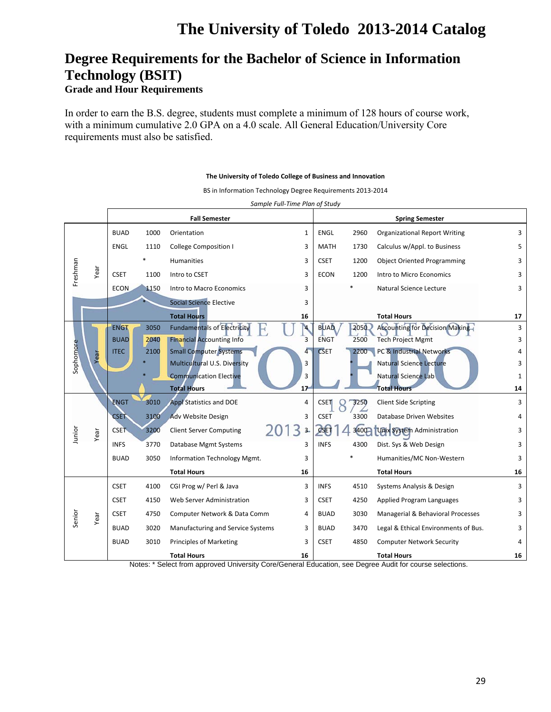## **Degree Requirements for the Bachelor of Science in Information Technology (BSIT)**

### **Grade and Hour Requirements**

In order to earn the B.S. degree, students must complete a minimum of 128 hours of course work, with a minimum cumulative 2.0 GPA on a 4.0 scale. All General Education/University Core requirements must also be satisfied.

#### **The University of Toledo College of Business and Innovation**

BS in Information Technology Degree Requirements 2013‐2014

|           |      | <b>Fall Semester</b> |      |                                    | <b>Spring Semester</b> |             |      |                                        |              |
|-----------|------|----------------------|------|------------------------------------|------------------------|-------------|------|----------------------------------------|--------------|
|           |      | <b>BUAD</b>          | 1000 | Orientation                        | 1                      | <b>ENGL</b> | 2960 | <b>Organizational Report Writing</b>   | 3            |
|           |      | <b>ENGL</b>          | 1110 | <b>College Composition I</b>       | 3                      | <b>MATH</b> | 1730 | Calculus w/Appl. to Business           | 5            |
|           |      |                      |      | Humanities                         | 3                      | <b>CSET</b> | 1200 | <b>Object Oriented Programming</b>     | 3            |
| Freshman  | Year | <b>CSET</b>          | 1100 | Intro to CSET                      | 3                      | <b>ECON</b> | 1200 | Intro to Micro Economics               | 3            |
|           |      | <b>ECON</b>          | 1150 | Intro to Macro Economics           | 3                      |             |      | Natural Science Lecture                | 3            |
|           |      |                      |      | <b>Social Science Elective</b>     | 3                      |             |      |                                        |              |
|           |      |                      |      | <b>Total Hours</b>                 | 16                     |             |      | <b>Total Hours</b>                     | 17           |
|           |      | <b>ENGT</b>          | 3050 | <b>Fundamentals of Electricity</b> | $\mathbf{A}$           | <b>BUAD</b> | 2050 | <b>Accounting for Decision Making-</b> | 3            |
|           |      | <b>BUAD</b>          | 2040 | <b>Financial Accounting Info</b>   | 3                      | <b>ENGT</b> | 2500 | <b>Tech Project Mgmt</b>               | 3            |
| Sophomore | Year | <b>ITEC</b>          | 2100 | <b>Small Computer Systems</b>      | 4                      | <b>CSET</b> | 2200 | PC & Industrial Networks               | 4            |
|           |      |                      |      | Multicultural U.S. Diversity       | 3                      |             |      | <b>Natural Science Lecture</b>         | 3            |
|           |      |                      |      | <b>Communication Elective</b>      | 3                      |             |      | Natural Science Lab                    | $\mathbf{1}$ |
|           |      |                      |      | <b>Total Hours</b>                 | 17                     |             |      | <b>Total Hours</b>                     | 14           |
|           |      | <b>ENGT</b>          | 3010 | <b>Appl Statistics and DOE</b>     | 4                      | <b>CSET</b> | 3250 | <b>Client Side Scripting</b>           | 3            |
|           |      | <b>CSET</b>          | 3100 | Adv Website Design                 | 3                      | <b>CSET</b> | 3300 | Database Driven Websites               | 4            |
| Junior    | Year | <b>CSET</b>          | 3200 | <b>Client Server Computing</b>     | 3<br>$3 -$             | $c$ set     | 3400 | Unix System Administration             | 3            |
|           |      | <b>INFS</b>          | 3770 | Database Mgmt Systems              | 3                      | <b>INFS</b> | 4300 | Dist. Sys & Web Design                 | 3            |
|           |      | <b>BUAD</b>          | 3050 | Information Technology Mgmt.       | 3                      |             |      | Humanities/MC Non-Western              | 3            |
|           |      |                      |      | <b>Total Hours</b>                 | 16                     |             |      | <b>Total Hours</b>                     | 16           |
|           |      | <b>CSET</b>          | 4100 | CGI Prog w/ Perl & Java            | 3                      | <b>INFS</b> | 4510 | Systems Analysis & Design              | 3            |
|           |      | <b>CSET</b>          | 4150 | Web Server Administration          | 3                      | <b>CSET</b> | 4250 | Applied Program Languages              | 3            |
| Senior    | Year | <b>CSET</b>          | 4750 | Computer Network & Data Comm       | 4                      | <b>BUAD</b> | 3030 | Managerial & Behavioral Processes      | 3            |
|           |      | <b>BUAD</b>          | 3020 | Manufacturing and Service Systems  | 3                      | <b>BUAD</b> | 3470 | Legal & Ethical Environments of Bus.   | 3            |
|           |      | <b>BUAD</b>          | 3010 | <b>Principles of Marketing</b>     | 3                      | <b>CSET</b> | 4850 | <b>Computer Network Security</b>       | 4            |
|           |      |                      |      | <b>Total Hours</b>                 | 16                     |             |      | <b>Total Hours</b>                     | 16           |

*Sample Full‐Time Plan of Study*

Notes: \* Select from approved University Core/General Education, see Degree Audit for course selections.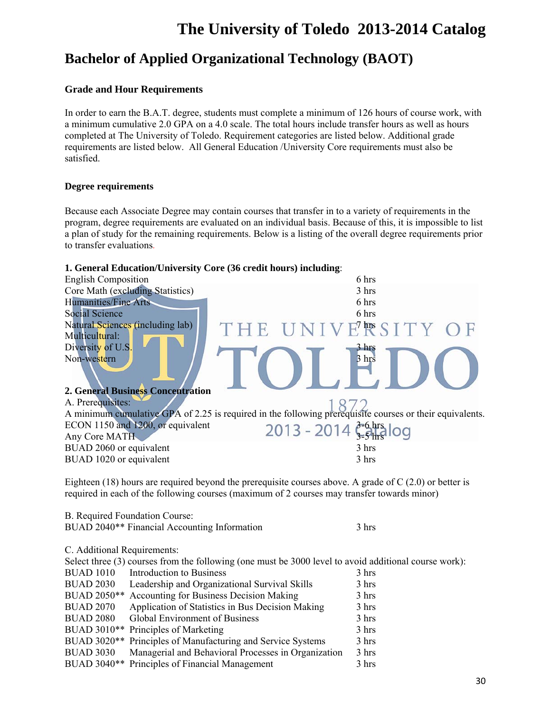## **Bachelor of Applied Organizational Technology (BAOT)**

### **Grade and Hour Requirements**

In order to earn the B.A.T. degree, students must complete a minimum of 126 hours of course work, with a minimum cumulative 2.0 GPA on a 4.0 scale. The total hours include transfer hours as well as hours completed at The University of Toledo. Requirement categories are listed below. Additional grade requirements are listed below. All General Education /University Core requirements must also be satisfied.

#### **Degree requirements**

Because each Associate Degree may contain courses that transfer in to a variety of requirements in the program, degree requirements are evaluated on an individual basis. Because of this, it is impossible to list a plan of study for the remaining requirements. Below is a listing of the overall degree requirements prior to transfer evaluations.

#### **1. General Education/University Core (36 credit hours) including**:

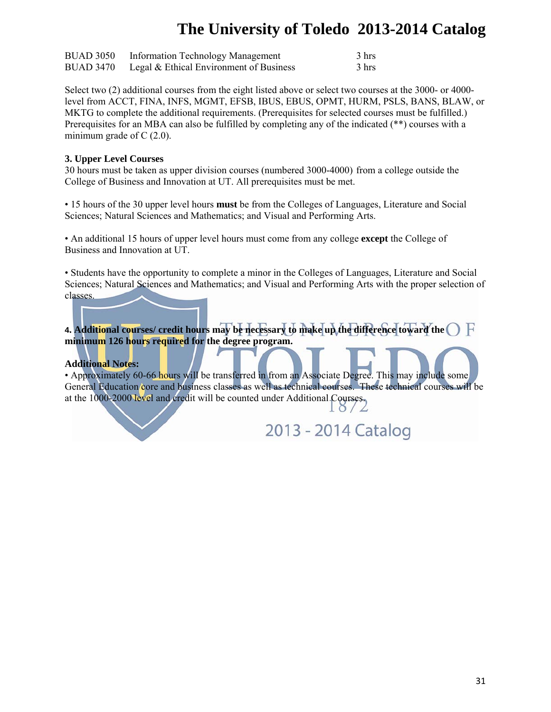| <b>BUAD 3050</b> | <b>Information Technology Management</b> | 3 hrs |
|------------------|------------------------------------------|-------|
| <b>BUAD 3470</b> | Legal & Ethical Environment of Business  | 3 hrs |

Select two (2) additional courses from the eight listed above or select two courses at the 3000- or 4000 level from ACCT, FINA, INFS, MGMT, EFSB, IBUS, EBUS, OPMT, HURM, PSLS, BANS, BLAW, or MKTG to complete the additional requirements. (Prerequisites for selected courses must be fulfilled.) Prerequisites for an MBA can also be fulfilled by completing any of the indicated (\*\*) courses with a minimum grade of  $C(2.0)$ .

#### **3. Upper Level Courses**

30 hours must be taken as upper division courses (numbered 3000-4000) from a college outside the College of Business and Innovation at UT. All prerequisites must be met.

• 15 hours of the 30 upper level hours **must** be from the Colleges of Languages, Literature and Social Sciences; Natural Sciences and Mathematics; and Visual and Performing Arts.

• An additional 15 hours of upper level hours must come from any college **except** the College of Business and Innovation at UT.

• Students have the opportunity to complete a minor in the Colleges of Languages, Literature and Social Sciences; Natural Sciences and Mathematics; and Visual and Performing Arts with the proper selection of classes.

**4. Additional courses/ credit hours may be necessary to make up the difference toward the minimum 126 hours required for the degree program.** 

### **Additional Notes:**

• Approximately 60-66 hours will be transferred in from an Associate Degree. This may include some General Education core and business classes as well as technical courses. These technical courses will be at the 1000-2000 level and credit will be counted under Additional Courses.

2013 - 2014 Catalog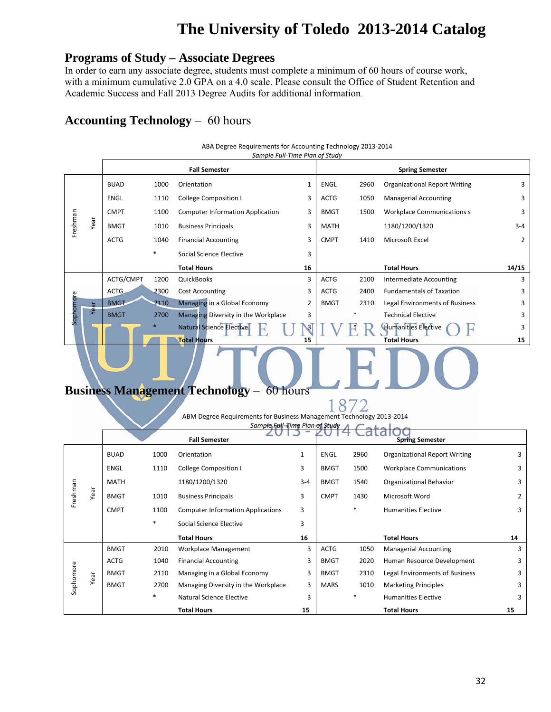## **Programs of Study – Associate Degrees**

In order to earn any associate degree, students must complete a minimum of 60 hours of course work, with a minimum cumulative 2.0 GPA on a 4.0 scale. Please consult the Office of Student Retention and Academic Success and Fall 2013 Degree Audits for additional information.

## **Accounting Technology** – 60 hours

ABA Degree Requirements for Accounting Technology 2013‐2014 *Sample Full‐Time Plan of Study*

|           |      |             |        | <b>Fall Semester</b>                    |                | <b>Spring Semester</b> |      |                                      |               |  |
|-----------|------|-------------|--------|-----------------------------------------|----------------|------------------------|------|--------------------------------------|---------------|--|
|           |      | <b>BUAD</b> | 1000   | Orientation                             | 1              | ENGL                   | 2960 | <b>Organizational Report Writing</b> | 3             |  |
|           |      | ENGL        | 1110   | <b>College Composition I</b>            | 3              | <b>ACTG</b>            | 1050 | <b>Managerial Accounting</b>         | 3             |  |
|           |      | <b>CMPT</b> | 1100   | <b>Computer Information Application</b> | 3              | <b>BMGT</b>            | 1500 | <b>Workplace Communications s</b>    | 3             |  |
| Freshman  | Year | <b>BMGT</b> | 1010   | <b>Business Principals</b>              | 3              | <b>MATH</b>            |      | 1180/1200/1320                       | $3 - 4$       |  |
|           |      | <b>ACTG</b> | 1040   | <b>Financial Accounting</b>             | 3              | <b>CMPT</b>            | 1410 | Microsoft Excel                      | $\mathcal{P}$ |  |
|           |      |             | $\ast$ | Social Science Elective                 | 3              |                        |      |                                      |               |  |
|           |      |             |        | <b>Total Hours</b>                      | 16             |                        |      | <b>Total Hours</b>                   | 14/15         |  |
|           |      | ACTG/CMPT   | 1200   | <b>QuickBooks</b>                       | 3              | <b>ACTG</b>            | 2100 | Intermediate Accounting              | 3             |  |
|           |      | ACTG        | 2300   | <b>Cost Accounting</b>                  | 3              | <b>ACTG</b>            | 2400 | <b>Fundamentals of Taxation</b>      | 3             |  |
| Sophomore | Year | <b>BMGT</b> | 2110   | Managing in a Global Economy            | $\overline{2}$ | <b>BMGT</b>            | 2310 | Legal Environments of Business       | 3             |  |
|           |      | <b>BMGT</b> | 2700   | Managing Diversity in the Workplace     | 3              |                        |      | <b>Technical Elective</b>            | 3             |  |
|           |      |             |        | <b>Natural Science Elective</b>         |                |                        |      | <b>Humanities Elective</b>           | 3             |  |
|           |      |             |        | <b>Total Hours</b>                      | 15             |                        |      | <b>Total Hours</b>                   | 15            |  |
|           |      |             |        |                                         |                |                        |      |                                      |               |  |

## **Business Management Technology** – 60 hours

187 ABM Degree Requirements for Business Management Technology 2013‐2014 *Sample Full‐Time Plan of Study*

|           |      |             |        | ZU.<br><b>Fall Semester</b>              |              |             | LV I T Calaivy | <b>Spring Semester</b>               |                |
|-----------|------|-------------|--------|------------------------------------------|--------------|-------------|----------------|--------------------------------------|----------------|
|           |      | <b>BUAD</b> | 1000   | Orientation                              | $\mathbf{1}$ | ENGL        | 2960           | <b>Organizational Report Writing</b> | 3              |
|           |      | ENGL        | 1110   | College Composition I                    | 3            | <b>BMGT</b> | 1500           | <b>Workplace Communications</b>      | 3              |
|           |      | <b>MATH</b> |        | 1180/1200/1320                           | $3 - 4$      | <b>BMGT</b> | 1540           | Organizational Behavior              | 3              |
| Freshman  | Year | <b>BMGT</b> | 1010   | <b>Business Principals</b>               | 3            | <b>CMPT</b> | 1430           | Microsoft Word                       | $\overline{2}$ |
|           |      | <b>CMPT</b> | 1100   | <b>Computer Information Applications</b> | 3            |             | $\ast$         | <b>Humanities Elective</b>           | 3              |
|           |      |             | *      | Social Science Elective                  | 3            |             |                |                                      |                |
|           |      |             |        | <b>Total Hours</b>                       | 16           |             |                | <b>Total Hours</b>                   | 14             |
|           |      | <b>BMGT</b> | 2010   | Workplace Management                     | 3            | ACTG        | 1050           | <b>Managerial Accounting</b>         | 3              |
|           |      | <b>ACTG</b> | 1040   | <b>Financial Accounting</b>              | 3            | <b>BMGT</b> | 2020           | Human Resource Development           | 3              |
| Sophomore | Year | <b>BMGT</b> | 2110   | Managing in a Global Economy             | 3            | <b>BMGT</b> | 2310           | Legal Environments of Business       | 3              |
|           |      | <b>BMGT</b> | 2700   | Managing Diversity in the Workplace      | 3            | <b>MARS</b> | 1010           | <b>Marketing Principles</b>          | 3              |
|           |      |             | $\ast$ | Natural Science Elective                 | 3            |             | *              | <b>Humanities Elective</b>           | 3              |
|           |      |             |        | <b>Total Hours</b>                       | 15           |             |                | <b>Total Hours</b>                   | 15             |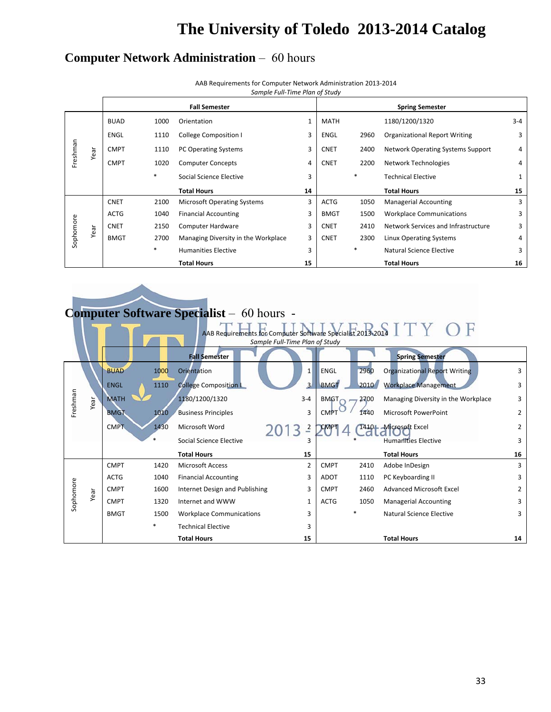## **Computer Network Administration** – 60 hours

AAB Requirements for Computer Network Administration 2013‐2014

*Sample Full‐Time Plan of Study*

|           |      |             |        | <b>Fall Semester</b>                |    |             |        | <b>Spring Semester</b>               |         |
|-----------|------|-------------|--------|-------------------------------------|----|-------------|--------|--------------------------------------|---------|
|           |      | <b>BUAD</b> | 1000   | Orientation                         | 1  | <b>MATH</b> |        | 1180/1200/1320                       | $3 - 4$ |
|           |      | <b>ENGL</b> | 1110   | <b>College Composition I</b>        | 3  | ENGL        | 2960   | <b>Organizational Report Writing</b> | 3       |
| Freshman  | Year | <b>CMPT</b> | 1110   | <b>PC Operating Systems</b>         | 3  | <b>CNET</b> | 2400   | Network Operating Systems Support    | 4       |
|           |      | <b>CMPT</b> | 1020   | <b>Computer Concepts</b>            | 4  | <b>CNET</b> | 2200   | Network Technologies                 | 4       |
|           |      |             | $\ast$ | Social Science Elective             | 3  |             | $\ast$ | <b>Technical Elective</b>            |         |
|           |      |             |        | <b>Total Hours</b>                  | 14 |             |        | <b>Total Hours</b>                   | 15      |
|           |      | <b>CNET</b> | 2100   | <b>Microsoft Operating Systems</b>  | 3  | <b>ACTG</b> | 1050   | <b>Managerial Accounting</b>         | 3       |
|           |      | <b>ACTG</b> | 1040   | <b>Financial Accounting</b>         | 3  | <b>BMGT</b> | 1500   | <b>Workplace Communications</b>      | 3       |
|           | Year | <b>CNET</b> | 2150   | Computer Hardware                   | 3  | <b>CNET</b> | 2410   | Network Services and Infrastructure  | 3       |
| Sophomore |      | <b>BMGT</b> | 2700   | Managing Diversity in the Workplace | 3  | <b>CNET</b> | 2300   | Linux Operating Systems              | 4       |
|           |      |             | $\ast$ | <b>Humanities Elective</b>          | 3  |             | $\ast$ | Natural Science Elective             | 3       |
|           |      |             |        | <b>Total Hours</b>                  | 15 |             |        | <b>Total Hours</b>                   | 16      |

# **Computer Software Specialist** – 60 hours -

|           |      | AAB Requirements for Computer Software Specialist 2013-2014<br>Sample Full-Time Plan of Study |        |                                 |                |             |      |                                      |                |
|-----------|------|-----------------------------------------------------------------------------------------------|--------|---------------------------------|----------------|-------------|------|--------------------------------------|----------------|
|           |      |                                                                                               |        |                                 |                |             |      |                                      |                |
|           |      |                                                                                               |        | <b>Fall Semester</b>            |                |             |      | <b>Spring Semester</b>               |                |
|           |      | <b>BUAD</b>                                                                                   | 1000   | Orientation                     | 1 <sup>1</sup> | <b>ENGL</b> | 2960 | <b>Organizational Report Writing</b> | 3              |
|           |      | <b>ENGL</b>                                                                                   | 1110   | <b>College Composition I</b>    | $\overline{3}$ | <b>BMGT</b> | 2010 | <b>Workplace Management</b>          | 3              |
| Freshman  | Year | <b>MATH</b>                                                                                   |        | 1180/1200/1320                  | $3 - 4$        | BMGT        | 2700 | Managing Diversity in the Workplace  | 3              |
|           |      | <b>BMGT</b>                                                                                   | 1010   | <b>Business Principles</b>      | 3              | <b>CMPT</b> | 1440 | Microsoft PowerPoint                 | 2              |
|           |      | <b>CMPT</b>                                                                                   | 1430   | Microsoft Word                  | 113            |             |      | 1410 - Microsoft Excel               | $\overline{2}$ |
|           |      |                                                                                               | $\ast$ | Social Science Elective         |                |             |      | <b>Humanities Elective</b>           | 3              |
|           |      |                                                                                               |        | <b>Total Hours</b>              | 15             |             |      | <b>Total Hours</b>                   | 16             |
|           |      | <b>CMPT</b>                                                                                   | 1420   | <b>Microsoft Access</b>         | 2              | <b>CMPT</b> | 2410 | Adobe InDesign                       | 3              |
|           |      | <b>ACTG</b>                                                                                   | 1040   | <b>Financial Accounting</b>     | 3              | ADOT        | 1110 | PC Keyboarding II                    | 3              |
|           | Year | <b>CMPT</b>                                                                                   | 1600   | Internet Design and Publishing  | 3              | <b>CMPT</b> | 2460 | <b>Advanced Microsoft Excel</b>      | 2              |
| Sophomore |      | <b>CMPT</b>                                                                                   | 1320   | Internet and WWW                |                | <b>ACTG</b> | 1050 | <b>Managerial Accounting</b>         | 3              |
|           |      | <b>BMGT</b>                                                                                   | 1500   | <b>Workplace Communications</b> | з              |             |      | Natural Science Elective             | 3              |
|           |      |                                                                                               | $\ast$ | <b>Technical Elective</b>       |                |             |      |                                      |                |
|           |      |                                                                                               |        | <b>Total Hours</b>              | 15             |             |      | <b>Total Hours</b>                   | 14             |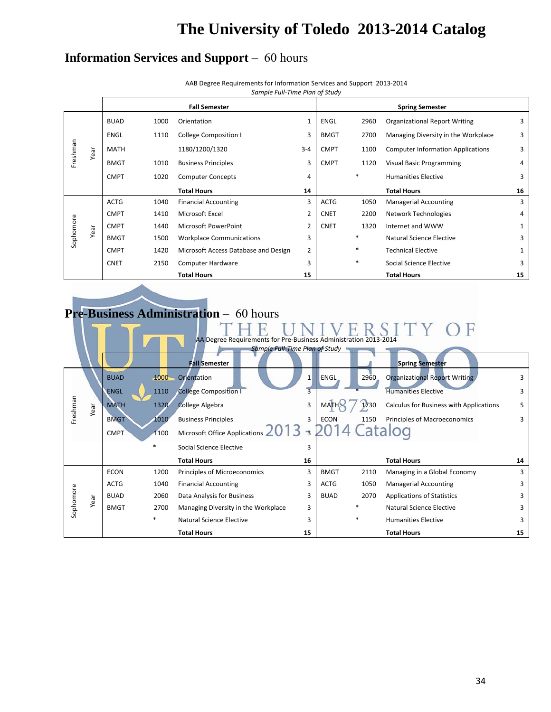$\sqrt{2}$ 

## **Information Services and Support** – 60 hours

| AAB Degree Requirements for Information Services and Support 2013-2014 |  |
|------------------------------------------------------------------------|--|
| Sample Full-Time Plan of Study                                         |  |

| Sample Full-Time Plan of St |  |
|-----------------------------|--|
|-----------------------------|--|

|           |      |             |      | <b>Fall Semester</b>                 |                |             |        | <b>Spring Semester</b>                   |    |
|-----------|------|-------------|------|--------------------------------------|----------------|-------------|--------|------------------------------------------|----|
|           |      | <b>BUAD</b> | 1000 | Orientation                          | $\mathbf{1}$   | ENGL        | 2960   | <b>Organizational Report Writing</b>     | 3  |
|           |      | <b>ENGL</b> | 1110 | College Composition I                | 3              | <b>BMGT</b> | 2700   | Managing Diversity in the Workplace      | 3  |
| Freshman  | Year | <b>MATH</b> |      | 1180/1200/1320                       | $3 - 4$        | <b>CMPT</b> | 1100   | <b>Computer Information Applications</b> | 3  |
|           |      | <b>BMGT</b> | 1010 | <b>Business Principles</b>           | 3              | <b>CMPT</b> | 1120   | <b>Visual Basic Programming</b>          | 4  |
|           |      | <b>CMPT</b> | 1020 | <b>Computer Concepts</b>             | 4              |             | $\ast$ | <b>Humanities Elective</b>               | 3  |
|           |      |             |      | <b>Total Hours</b>                   | 14             |             |        | <b>Total Hours</b>                       | 16 |
|           |      | <b>ACTG</b> | 1040 | <b>Financial Accounting</b>          | 3              | <b>ACTG</b> | 1050   | <b>Managerial Accounting</b>             | 3  |
|           |      | <b>CMPT</b> | 1410 | Microsoft Excel                      | $\overline{2}$ | <b>CNET</b> | 2200   | Network Technologies                     | 4  |
|           | Year | <b>CMPT</b> | 1440 | Microsoft PowerPoint                 | $\overline{2}$ | <b>CNET</b> | 1320   | Internet and WWW                         | 1  |
| Sophomore |      | <b>BMGT</b> | 1500 | <b>Workplace Communications</b>      | 3              |             | $\ast$ | Natural Science Elective                 | 3  |
|           |      | <b>CMPT</b> | 1420 | Microsoft Access Database and Design | $\overline{2}$ |             | $\ast$ | <b>Technical Elective</b>                | 1  |
|           |      | <b>CNET</b> | 2150 | <b>Computer Hardware</b>             | 3              |             | $\ast$ | Social Science Elective                  | 3  |
|           |      |             |      | <b>Total Hours</b>                   | 15             |             |        | <b>Total Hours</b>                       | 15 |

# **Pre-Business Administration** – 60 hours

|           |      |             |          | AA Degree Requirements for Pre-Business Administration 2013-2014 |              |             |        |                                         |    |
|-----------|------|-------------|----------|------------------------------------------------------------------|--------------|-------------|--------|-----------------------------------------|----|
|           |      |             |          | Sample Full-Time Plan of Study                                   |              |             |        |                                         |    |
|           |      |             |          | <b>Fall Semester</b>                                             |              |             |        | <b>Spring Semester</b>                  |    |
|           |      | <b>BUAD</b> | $1000 -$ | Orientation                                                      | $\mathbf{1}$ | <b>ENGL</b> | 2960   | Organizational Report Writing           | 3  |
|           |      | <b>ENGL</b> | 1110     | <b>College Composition I</b>                                     |              |             |        | <b>Humanities Elective</b>              | 3  |
| Freshman  | Year | <b>MATH</b> | 1320     | <b>College Algebra</b>                                           | 3            | MAI         | 1730   | Calculus for Business with Applications | 5  |
|           |      | <b>BMGT</b> | 1010     | <b>Business Principles</b>                                       | 3            | <b>ECON</b> | 1150   | Principles of Macroeconomics            | 3  |
|           |      | <b>CMPT</b> | 1100     | Microsoft Office Applications 2013 3 2014 Catalog                |              |             |        |                                         |    |
|           |      |             | $\ast$   | Social Science Elective                                          |              |             |        |                                         |    |
|           |      |             |          | <b>Total Hours</b>                                               | 16           |             |        | <b>Total Hours</b>                      | 14 |
|           |      | <b>ECON</b> | 1200     | Principles of Microeconomics                                     | 3            | <b>BMGT</b> | 2110   | Managing in a Global Economy            | 3  |
|           |      | <b>ACTG</b> | 1040     | <b>Financial Accounting</b>                                      | 3            | <b>ACTG</b> | 1050   | <b>Managerial Accounting</b>            | 3  |
|           | Year | <b>BUAD</b> | 2060     | Data Analysis for Business                                       | 3            | <b>BUAD</b> | 2070   | <b>Applications of Statistics</b>       | 3  |
| Sophomore |      | <b>BMGT</b> | 2700     | Managing Diversity in the Workplace                              | 3            |             |        | Natural Science Elective                | 3  |
|           |      |             | $\ast$   | Natural Science Elective                                         | 3            |             | $\ast$ | <b>Humanities Elective</b>              | 3  |
|           |      |             |          | <b>Total Hours</b>                                               | 15           |             |        | <b>Total Hours</b>                      | 15 |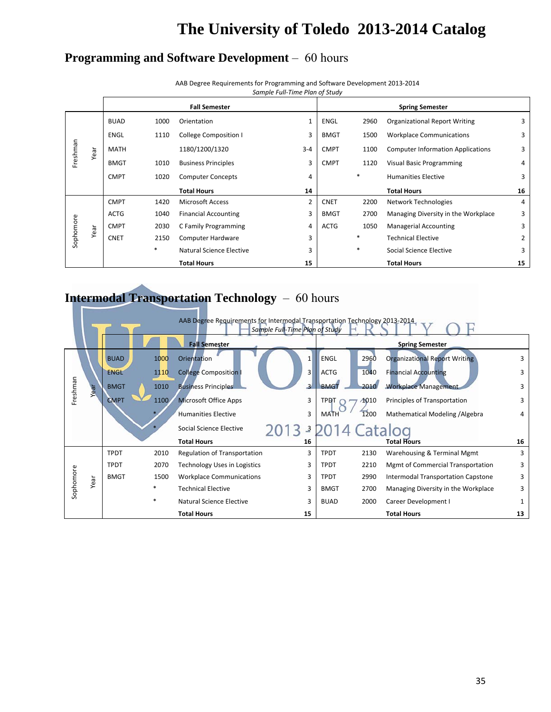## **Programming and Software Development** – 60 hours

|           |      |             |      |                             | Sumple Full-Time Plum of Study |             |        |                                          |                |
|-----------|------|-------------|------|-----------------------------|--------------------------------|-------------|--------|------------------------------------------|----------------|
|           |      |             |      | <b>Fall Semester</b>        |                                |             |        | <b>Spring Semester</b>                   |                |
|           |      | <b>BUAD</b> | 1000 | Orientation                 | 1                              | <b>ENGL</b> | 2960   | <b>Organizational Report Writing</b>     | 3              |
|           |      | ENGL        | 1110 | College Composition I       | 3                              | <b>BMGT</b> | 1500   | <b>Workplace Communications</b>          | 3              |
| Freshman  | Year | <b>MATH</b> |      | 1180/1200/1320              | $3 - 4$                        | <b>CMPT</b> | 1100   | <b>Computer Information Applications</b> | 3              |
|           |      | <b>BMGT</b> | 1010 | <b>Business Principles</b>  | 3                              | <b>CMPT</b> | 1120   | <b>Visual Basic Programming</b>          | 4              |
|           |      | <b>CMPT</b> | 1020 | <b>Computer Concepts</b>    | 4                              |             | $\ast$ | <b>Humanities Elective</b>               | 3              |
|           |      |             |      | <b>Total Hours</b>          | 14                             |             |        | <b>Total Hours</b>                       | 16             |
|           |      | <b>CMPT</b> | 1420 | <b>Microsoft Access</b>     | $\overline{2}$                 | <b>CNET</b> | 2200   | Network Technologies                     | 4              |
|           |      | <b>ACTG</b> | 1040 | <b>Financial Accounting</b> | 3                              | <b>BMGT</b> | 2700   | Managing Diversity in the Workplace      | 3              |
|           | Year | <b>CMPT</b> | 2030 | C Family Programming        | 4                              | <b>ACTG</b> | 1050   | <b>Managerial Accounting</b>             | 3              |
| Sophomore |      | <b>CNET</b> | 2150 | Computer Hardware           | 3                              |             | $\ast$ | <b>Technical Elective</b>                | $\overline{2}$ |
|           |      |             | *    | Natural Science Elective    | 3                              |             | $\ast$ | Social Science Elective                  | 3              |
|           |      |             |      | <b>Total Hours</b>          | 15                             |             |        | <b>Total Hours</b>                       | 15             |

AAB Degree Requirements for Programming and Software Development 2013‐2014 *Sample Full‐Time Plan of Study*

## **Intermodal Transportation Technology** – 60 hours

|           | AAB Degree Requirements for Intermodal Transportation Technology 2013-2014<br>Sample Full-Time Plan of Study |             |        |                                 |  |                |                           |      |                                          |    |  |
|-----------|--------------------------------------------------------------------------------------------------------------|-------------|--------|---------------------------------|--|----------------|---------------------------|------|------------------------------------------|----|--|
|           |                                                                                                              |             |        | <b>Fall Semester</b>            |  |                |                           |      | <b>Spring Semester</b>                   |    |  |
|           |                                                                                                              | <b>BUAD</b> | 1000   | Orientation                     |  |                | <b>ENGL</b>               | 2960 | <b>Organizational Report Writing</b>     |    |  |
|           |                                                                                                              | <b>ENGL</b> | 1110   | <b>College Composition I</b>    |  | 3              | <b>ACTG</b>               | 1040 | <b>Financial Accounting</b>              | 3  |  |
| Freshman  | Year                                                                                                         | <b>BMGT</b> | 1010   | <b>Business Principles</b>      |  | $\overline{3}$ | <b>BMGT</b>               | 2010 | <b>Workplace Management</b>              | 3  |  |
|           |                                                                                                              | <b>CMPT</b> | 1100   | <b>Microsoft Office Apps</b>    |  | 3              | <b>TPDT</b>               | 1010 | Principles of Transportation             | 3  |  |
|           |                                                                                                              |             |        | <b>Humanities Elective</b>      |  | 3              | <b>MATH</b>               | 1200 | Mathematical Modeling / Algebra          | 4  |  |
|           |                                                                                                              |             |        | Social Science Elective         |  |                | <sup>3</sup> 2014 Catalog |      |                                          |    |  |
|           |                                                                                                              |             |        | <b>Total Hours</b>              |  | 16             |                           |      | <b>Total Hours</b>                       | 16 |  |
|           |                                                                                                              | <b>TPDT</b> | 2010   | Regulation of Transportation    |  | 3              | <b>TPDT</b>               | 2130 | Warehousing & Terminal Mgmt              | 3  |  |
|           |                                                                                                              | <b>TPDT</b> | 2070   | Technology Uses in Logistics    |  | 3              | <b>TPDT</b>               | 2210 | <b>Mgmt of Commercial Transportation</b> | 3  |  |
|           | Year                                                                                                         | <b>BMGT</b> | 1500   | <b>Workplace Communications</b> |  | 3              | <b>TPDT</b>               | 2990 | Intermodal Transportation Capstone       | 3  |  |
| Sophomore |                                                                                                              |             | $\ast$ | <b>Technical Elective</b>       |  | 3              | <b>BMGT</b>               | 2700 | Managing Diversity in the Workplace      | 3  |  |
|           |                                                                                                              |             | $\ast$ | Natural Science Elective        |  | 3              | <b>BUAD</b>               | 2000 | Career Development I                     | 1  |  |
|           |                                                                                                              |             |        | <b>Total Hours</b>              |  | 15             |                           |      | <b>Total Hours</b>                       | 13 |  |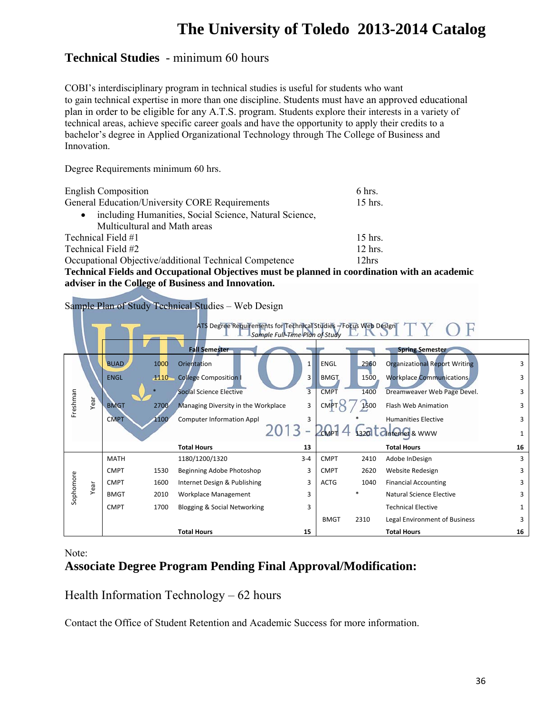## **Technical Studies** - minimum 60 hours

COBI's interdisciplinary program in technical studies is useful for students who want to gain technical expertise in more than one discipline. Students must have an approved educational plan in order to be eligible for any A.T.S. program. Students explore their interests in a variety of technical areas, achieve specific career goals and have the opportunity to apply their credits to a bachelor's degree in Applied Organizational Technology through The College of Business and Innovation.

Degree Requirements minimum 60 hrs.

| <b>English Composition</b>                             | 6 hrs.    |  |  |  |  |
|--------------------------------------------------------|-----------|--|--|--|--|
| General Education/University CORE Requirements         | 15 hrs.   |  |  |  |  |
| including Humanities, Social Science, Natural Science, |           |  |  |  |  |
| Multicultural and Math areas                           |           |  |  |  |  |
| Technical Field #1                                     | $15$ hrs. |  |  |  |  |
| Technical Field #2                                     |           |  |  |  |  |
| Occupational Objective/additional Technical Competence |           |  |  |  |  |

**Technical Fields and Occupational Objectives must be planned in coordination with an academic adviser in the College of Business and Innovation.** 

Sample Plan of Study Technical Studies – Web Design

|           |      |             |      | ATS Degree Requirements for Technical Studies - Focus Web Design | Sample Full-Time Plan of Study |             |      |                                                               |    |
|-----------|------|-------------|------|------------------------------------------------------------------|--------------------------------|-------------|------|---------------------------------------------------------------|----|
|           |      |             |      | <b>Fall Semester</b>                                             |                                |             |      | <b>Spring Semester</b>                                        |    |
|           |      | <b>BUAD</b> | 1000 | Orientation                                                      | $\mathbf{1}$                   | <b>ENGL</b> | 2960 | <b>Organizational Report Writing</b>                          | 3  |
|           |      | <b>ENGL</b> | 1110 | <b>College Composition I</b>                                     | 3                              | <b>BMGT</b> | 1500 | <b>Workplace Communications</b>                               | 3  |
|           |      |             |      | <b>Social Science Elective</b>                                   | $\overline{3}$                 | <b>CMPT</b> | 1400 | Dreamweaver Web Page Devel.                                   | 3  |
| Freshman  | Year | <b>BMGT</b> | 2700 | Managing Diversity in the Workplace                              | 3                              | <b>CMP</b>  | 1500 | Flash Web Animation                                           | 3  |
|           |      | <b>CMPT</b> | 1100 | <b>Computer Information Appl</b>                                 | 3                              |             |      | <b>Humanities Elective</b>                                    | 3  |
|           |      |             |      |                                                                  |                                |             |      | $2$ cM <sub>p</sub> $14$ $1320$ $12$ <sub>nternet</sub> & www |    |
|           |      |             |      | <b>Total Hours</b>                                               | 13                             |             |      | <b>Total Hours</b>                                            | 16 |
|           |      | <b>MATH</b> |      | 1180/1200/1320                                                   | $3 - 4$                        | <b>CMPT</b> | 2410 | Adobe InDesign                                                | 3  |
| Sophomore | Year | <b>CMPT</b> | 1530 | Beginning Adobe Photoshop                                        | 3                              | <b>CMPT</b> | 2620 | Website Redesign                                              | ੨  |
|           |      | <b>CMPT</b> | 1600 | Internet Design & Publishing                                     | 3                              | <b>ACTG</b> | 1040 | <b>Financial Accounting</b>                                   |    |
|           |      | <b>BMGT</b> | 2010 | Workplace Management                                             | 3                              |             |      | Natural Science Elective                                      |    |
|           |      | <b>CMPT</b> | 1700 | <b>Blogging &amp; Social Networking</b>                          | 3                              |             |      | <b>Technical Elective</b>                                     |    |
|           |      |             |      |                                                                  |                                | <b>BMGT</b> | 2310 | Legal Environment of Business                                 | 3  |
|           |      |             |      | <b>Total Hours</b>                                               | 15                             |             |      | <b>Total Hours</b>                                            | 16 |

Note:

## **Associate Degree Program Pending Final Approval/Modification:**

## Health Information Technology – 62 hours

Contact the Office of Student Retention and Academic Success for more information.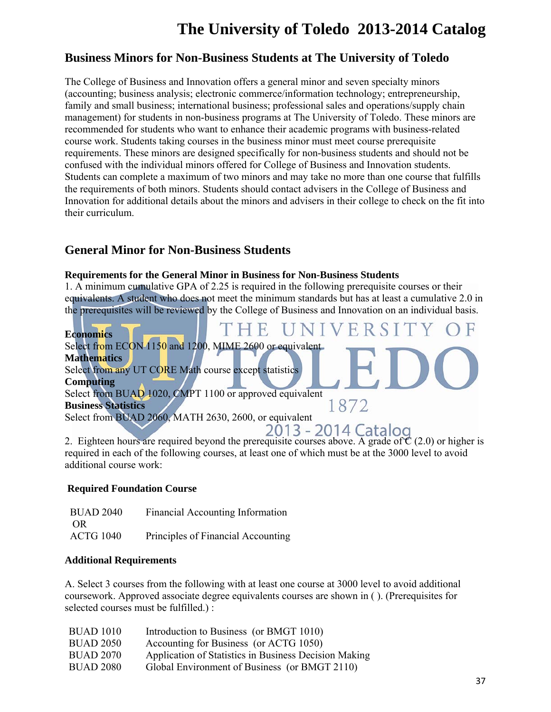## **Business Minors for Non-Business Students at The University of Toledo**

The College of Business and Innovation offers a general minor and seven specialty minors (accounting; business analysis; electronic commerce/information technology; entrepreneurship, family and small business; international business; professional sales and operations/supply chain management) for students in non-business programs at The University of Toledo. These minors are recommended for students who want to enhance their academic programs with business-related course work. Students taking courses in the business minor must meet course prerequisite requirements. These minors are designed specifically for non-business students and should not be confused with the individual minors offered for College of Business and Innovation students. Students can complete a maximum of two minors and may take no more than one course that fulfills the requirements of both minors. Students should contact advisers in the College of Business and Innovation for additional details about the minors and advisers in their college to check on the fit into their curriculum.

## **General Minor for Non-Business Students**

### **Requirements for the General Minor in Business for Non-Business Students**

1. A minimum cumulative GPA of 2.25 is required in the following prerequisite courses or their equivalents. A student who does not meet the minimum standards but has at least a cumulative 2.0 in the prerequisites will be reviewed by the College of Business and Innovation on an individual basis.



required in each of the following courses, at least one of which must be at the 3000 level to avoid additional course work:

### **Required Foundation Course**

| <b>BUAD 2040</b> | Financial Accounting Information   |
|------------------|------------------------------------|
| OR.              |                                    |
| <b>ACTG 1040</b> | Principles of Financial Accounting |

#### **Additional Requirements**

A. Select 3 courses from the following with at least one course at 3000 level to avoid additional coursework. Approved associate degree equivalents courses are shown in ( ). (Prerequisites for selected courses must be fulfilled.) :

| Introduction to Business (or BMGT 1010)               |
|-------------------------------------------------------|
| Accounting for Business (or ACTG 1050)                |
| Application of Statistics in Business Decision Making |
| Global Environment of Business (or BMGT 2110)         |
|                                                       |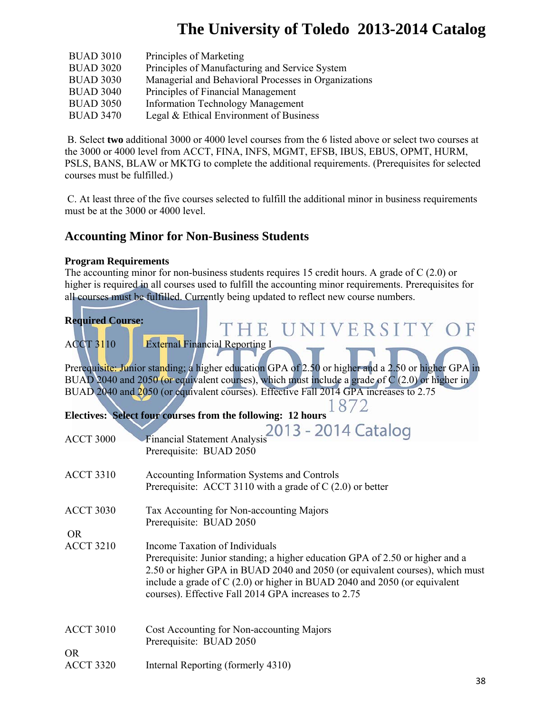| <b>BUAD 3010</b> | Principles of Marketing                              |
|------------------|------------------------------------------------------|
| <b>BUAD 3020</b> | Principles of Manufacturing and Service System       |
| <b>BUAD 3030</b> | Managerial and Behavioral Processes in Organizations |
| <b>BUAD 3040</b> | Principles of Financial Management                   |
| <b>BUAD 3050</b> | <b>Information Technology Management</b>             |
| <b>BUAD 3470</b> | Legal & Ethical Environment of Business              |

 B. Select **two** additional 3000 or 4000 level courses from the 6 listed above or select two courses at the 3000 or 4000 level from ACCT, FINA, INFS, MGMT, EFSB, IBUS, EBUS, OPMT, HURM, PSLS, BANS, BLAW or MKTG to complete the additional requirements. (Prerequisites for selected courses must be fulfilled.)

 C. At least three of the five courses selected to fulfill the additional minor in business requirements must be at the 3000 or 4000 level.

## **Accounting Minor for Non-Business Students**

### **Program Requirements**

The accounting minor for non-business students requires 15 credit hours. A grade of C (2.0) or higher is required in all courses used to fulfill the accounting minor requirements. Prerequisites for all courses must be fulfilled. Currently being updated to reflect new course numbers.

| <b>Required Course:</b>       | THE UNIVERSITY O                                                                                                                                                                                                                                                                                                                    |
|-------------------------------|-------------------------------------------------------------------------------------------------------------------------------------------------------------------------------------------------------------------------------------------------------------------------------------------------------------------------------------|
| <b>ACCT 3110</b>              | <b>External Financial Reporting I</b>                                                                                                                                                                                                                                                                                               |
|                               | Prerequisite: Junior standing; a higher education GPA of 2.50 or higher and a 2.50 or higher GPA in<br>BUAD 2040 and 2050 (or equivalent courses), which must include a grade of $C(2.0)$ or higher in<br>BUAD 2040 and 2050 (or equivalent courses). Effective Fall 2014 GPA increases to 2.75                                     |
|                               | Electives: Select four courses from the following: 12 hours                                                                                                                                                                                                                                                                         |
| <b>ACCT 3000</b>              | 2013 - 2014 Catalog<br><b>Financial Statement Analysis</b><br>Prerequisite: BUAD 2050                                                                                                                                                                                                                                               |
| <b>ACCT 3310</b>              | Accounting Information Systems and Controls<br>Prerequisite: ACCT 3110 with a grade of $C(2.0)$ or better                                                                                                                                                                                                                           |
| <b>ACCT 3030</b>              | Tax Accounting for Non-accounting Majors<br>Prerequisite: BUAD 2050                                                                                                                                                                                                                                                                 |
| <b>OR</b><br><b>ACCT 3210</b> | Income Taxation of Individuals<br>Prerequisite: Junior standing; a higher education GPA of 2.50 or higher and a<br>2.50 or higher GPA in BUAD 2040 and 2050 (or equivalent courses), which must<br>include a grade of C (2.0) or higher in BUAD 2040 and 2050 (or equivalent<br>courses). Effective Fall 2014 GPA increases to 2.75 |
| <b>ACCT 3010</b>              | Cost Accounting for Non-accounting Majors<br>Prerequisite: BUAD 2050                                                                                                                                                                                                                                                                |
| <b>OR</b><br><b>ACCT 3320</b> | Internal Reporting (formerly 4310)                                                                                                                                                                                                                                                                                                  |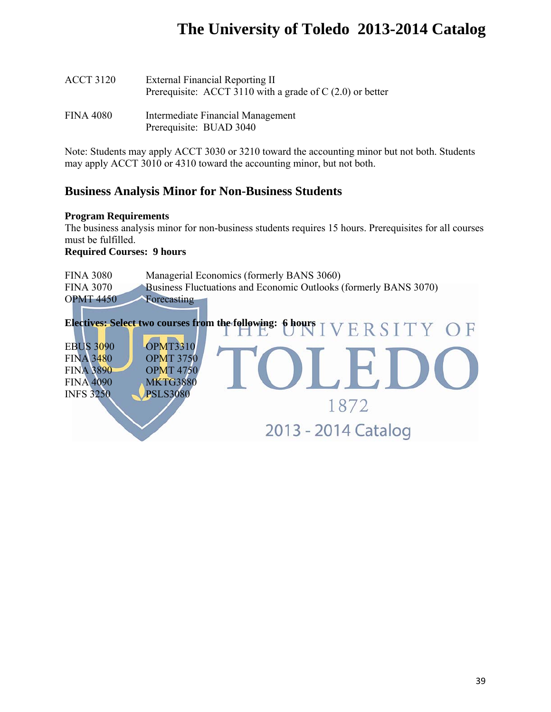| <b>ACCT 3120</b> | External Financial Reporting II<br>Prerequisite: ACCT 3110 with a grade of $C(2.0)$ or better |
|------------------|-----------------------------------------------------------------------------------------------|
| FINA 4080        | Intermediate Financial Management<br>Prerequisite: BUAD 3040                                  |

Note: Students may apply ACCT 3030 or 3210 toward the accounting minor but not both. Students may apply ACCT 3010 or 4310 toward the accounting minor, but not both.

## **Business Analysis Minor for Non-Business Students**

#### **Program Requirements**

The business analysis minor for non-business students requires 15 hours. Prerequisites for all courses must be fulfilled.

#### **Required Courses: 9 hours**

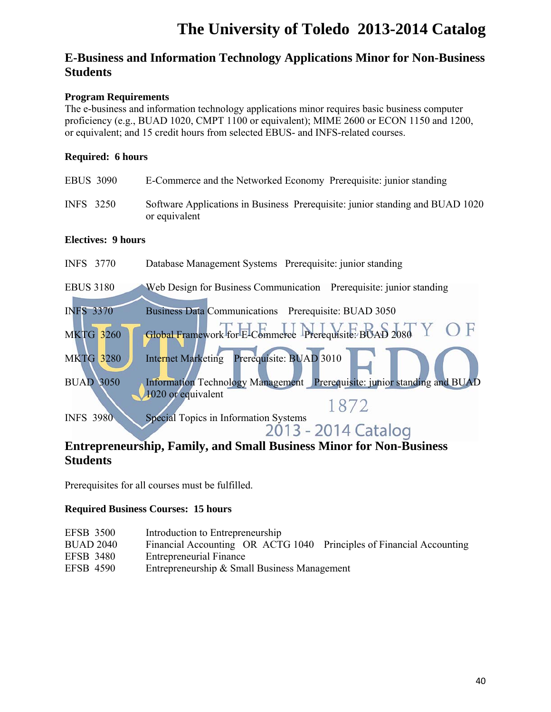## **E-Business and Information Technology Applications Minor for Non-Business Students**

## **Program Requirements**

The e-business and information technology applications minor requires basic business computer proficiency (e.g., BUAD 1020, CMPT 1100 or equivalent); MIME 2600 or ECON 1150 and 1200, or equivalent; and 15 credit hours from selected EBUS- and INFS-related courses.

## **Required: 6 hours**

| <b>EBUS 3090</b> | E-Commerce and the Networked Economy Prerequisite: junior standing                             |
|------------------|------------------------------------------------------------------------------------------------|
| INFS 3250        | Software Applications in Business Prerequisite: junior standing and BUAD 1020<br>or equivalent |

## **Electives: 9 hours**

| <b>INFS</b> 3770 | Database Management Systems Prerequisite: junior standing                                      |
|------------------|------------------------------------------------------------------------------------------------|
| <b>EBUS 3180</b> | Web Design for Business Communication Prerequisite: junior standing                            |
| <b>INFS 3370</b> | Business Data Communications Prerequisite: BUAD 3050                                           |
| <b>MKTG 3260</b> | Global Framework for E-Commerce Prerequisite: BUAD 2080<br>H                                   |
| <b>MKTG 3280</b> | Prerequisite: BUAD 3010<br><b>Internet Marketing</b>                                           |
| <b>BUAD 3050</b> | Information Technology Management Prerequisite: junior standing and BUAD<br>1020 or equivalent |
|                  | 1872                                                                                           |
| <b>INFS 3980</b> | Special Topics in Information Systems                                                          |
|                  | 2013 - 2014 Catalog                                                                            |

## **Entrepreneurship, Family, and Small Business Minor for Non-Business Students**

Prerequisites for all courses must be fulfilled.

## **Required Business Courses: 15 hours**

| <b>EFSB 3500</b> | Introduction to Entrepreneurship                                     |
|------------------|----------------------------------------------------------------------|
| <b>BUAD 2040</b> | Financial Accounting OR ACTG 1040 Principles of Financial Accounting |
| <b>EFSB 3480</b> | <b>Entrepreneurial Finance</b>                                       |
| <b>EFSB 4590</b> | Entrepreneurship & Small Business Management                         |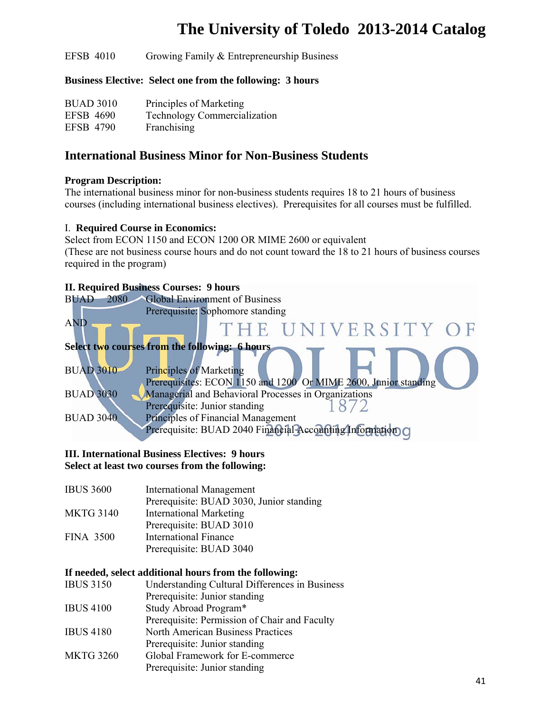EFSB 4010 Growing Family & Entrepreneurship Business

### **Business Elective: Select one from the following: 3 hours**

| <b>BUAD 3010</b> | Principles of Marketing             |
|------------------|-------------------------------------|
| <b>EFSB 4690</b> | <b>Technology Commercialization</b> |
| <b>EFSB 4790</b> | Franchising                         |

## **International Business Minor for Non-Business Students**

### **Program Description:**

The international business minor for non-business students requires 18 to 21 hours of business courses (including international business electives). Prerequisites for all courses must be fulfilled.

#### I. **Required Course in Economics:**

Select from ECON 1150 and ECON 1200 OR MIME 2600 or equivalent (These are not business course hours and do not count toward the 18 to 21 hours of business courses required in the program)

## **II. Required Business Courses: 9 hours**



### **III. International Business Electives: 9 hours Select at least two courses from the following:**

IBUS 3600 International Management Prerequisite: BUAD 3030, Junior standing MKTG 3140 International Marketing Prerequisite: BUAD 3010 FINA 3500 International Finance Prerequisite: BUAD 3040

#### **If needed, select additional hours from the following:**

| <b>IBUS 3150</b> | <b>Understanding Cultural Differences in Business</b> |
|------------------|-------------------------------------------------------|
|                  | Prerequisite: Junior standing                         |
| <b>IBUS 4100</b> | Study Abroad Program*                                 |
|                  | Prerequisite: Permission of Chair and Faculty         |
| <b>IBUS 4180</b> | <b>North American Business Practices</b>              |
|                  | Prerequisite: Junior standing                         |
| <b>MKTG 3260</b> | Global Framework for E-commerce                       |
|                  | Prerequisite: Junior standing                         |